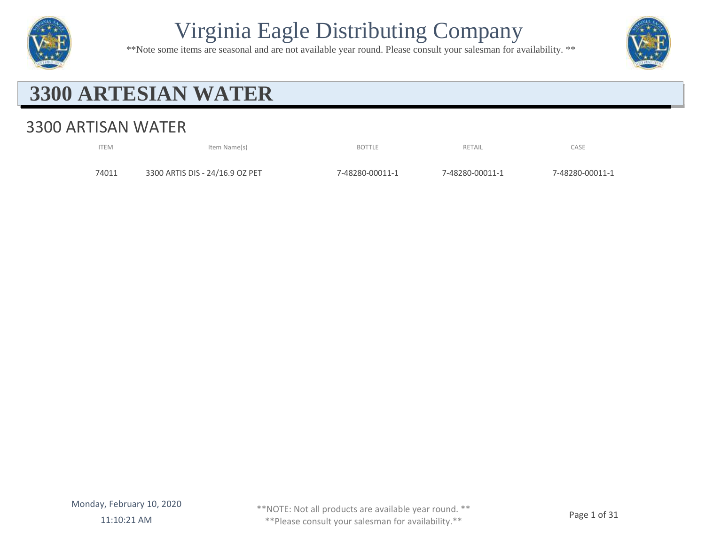

\*\*Note some items are seasonal and are not available year round. Please consult your salesman for availability. \*\*



#### **3300 ARTESIAN WATER**

#### 3300 ARTISAN WATER

| <b>ITEM</b> | Item Name(s)                    | <b>BOTTLE</b>   | RETAIL          | CASE            |
|-------------|---------------------------------|-----------------|-----------------|-----------------|
| 74011       | 3300 ARTIS DIS - 24/16.9 OZ PET | 7-48280-00011-1 | 7-48280-00011-1 | 7-48280-00011-1 |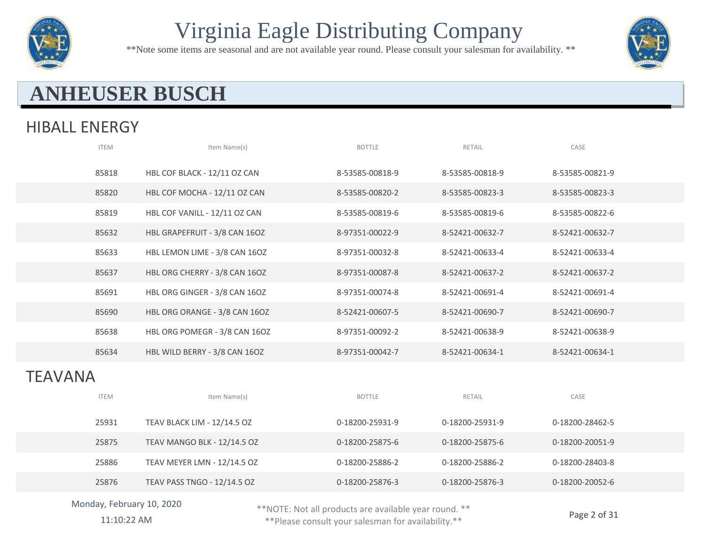

\*\*Note some items are seasonal and are not available year round. Please consult your salesman for availability. \*\*



#### **ANHEUSER BUSCH**

#### HIBALL ENERGY

|         | <b>ITEM</b> | Item Name(s)                  | <b>BOTTLE</b>   | RETAIL          | CASE            |
|---------|-------------|-------------------------------|-----------------|-----------------|-----------------|
|         | 85818       | HBL COF BLACK - 12/11 OZ CAN  | 8-53585-00818-9 | 8-53585-00818-9 | 8-53585-00821-9 |
|         | 85820       | HBL COF MOCHA - 12/11 OZ CAN  | 8-53585-00820-2 | 8-53585-00823-3 | 8-53585-00823-3 |
|         | 85819       | HBL COF VANILL - 12/11 OZ CAN | 8-53585-00819-6 | 8-53585-00819-6 | 8-53585-00822-6 |
|         | 85632       | HBL GRAPEFRUIT - 3/8 CAN 16OZ | 8-97351-00022-9 | 8-52421-00632-7 | 8-52421-00632-7 |
|         | 85633       | HBL LEMON LIME - 3/8 CAN 16OZ | 8-97351-00032-8 | 8-52421-00633-4 | 8-52421-00633-4 |
|         | 85637       | HBL ORG CHERRY - 3/8 CAN 16OZ | 8-97351-00087-8 | 8-52421-00637-2 | 8-52421-00637-2 |
|         | 85691       | HBL ORG GINGER - 3/8 CAN 16OZ | 8-97351-00074-8 | 8-52421-00691-4 | 8-52421-00691-4 |
|         | 85690       | HBL ORG ORANGE - 3/8 CAN 16OZ | 8-52421-00607-5 | 8-52421-00690-7 | 8-52421-00690-7 |
|         | 85638       | HBL ORG POMEGR - 3/8 CAN 16OZ | 8-97351-00092-2 | 8-52421-00638-9 | 8-52421-00638-9 |
|         | 85634       | HBL WILD BERRY - 3/8 CAN 16OZ | 8-97351-00042-7 | 8-52421-00634-1 | 8-52421-00634-1 |
| TEAVANA |             |                               |                 |                 |                 |
|         | <b>ITEM</b> | Item Name(s)                  | <b>BOTTLE</b>   | RETAIL          | CASE            |
|         | 25931       | TEAV BLACK LIM - 12/14.5 OZ   | 0-18200-25931-9 | 0-18200-25931-9 | 0-18200-28462-5 |
|         | 25875       | TEAV MANGO BLK - 12/14.5 OZ   | 0-18200-25875-6 | 0-18200-25875-6 | 0-18200-20051-9 |
|         | 25886       | TEAV MEYER LMN - 12/14.5 OZ   | 0-18200-25886-2 | 0-18200-25886-2 | 0-18200-28403-8 |
|         | 25876       | TEAV PASS TNGO - 12/14.5 OZ   | 0-18200-25876-3 | 0-18200-25876-3 | 0-18200-20052-6 |
|         |             |                               |                 |                 |                 |

Monday, February 10, 2020

\*\*NOTE: Not all products are available year round. \*\*

11:10:22 AM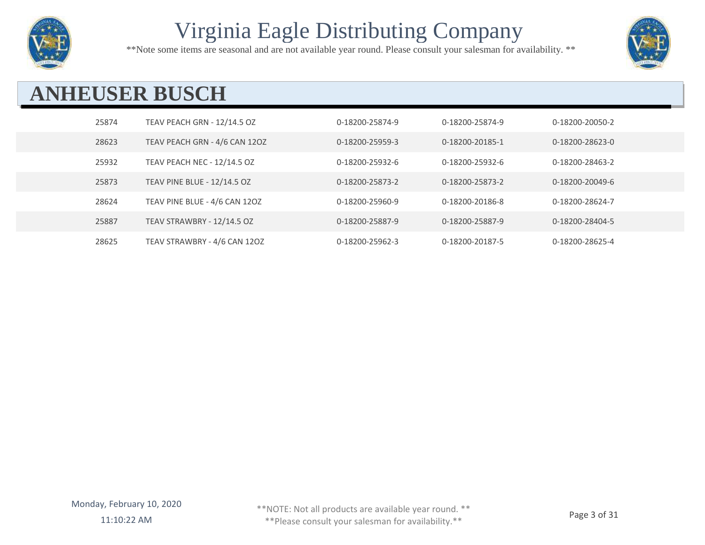

\*\*Note some items are seasonal and are not available year round. Please consult your salesman for availability. \*\*



## **ANHEUSER BUSCH**

| 25874 | TEAV PEACH GRN - 12/14.5 OZ        | 0-18200-25874-9 | 0-18200-25874-9 | 0-18200-20050-2 |
|-------|------------------------------------|-----------------|-----------------|-----------------|
| 28623 | TEAV PEACH GRN - 4/6 CAN 12OZ      | 0-18200-25959-3 | 0-18200-20185-1 | 0-18200-28623-0 |
| 25932 | TEAV PEACH NEC - 12/14.5 OZ        | 0-18200-25932-6 | 0-18200-25932-6 | 0-18200-28463-2 |
| 25873 | <b>TEAV PINE BLUE - 12/14.5 OZ</b> | 0-18200-25873-2 | 0-18200-25873-2 | 0-18200-20049-6 |
| 28624 | TEAV PINE BLUE - 4/6 CAN 12OZ      | 0-18200-25960-9 | 0-18200-20186-8 | 0-18200-28624-7 |
| 25887 | TEAV STRAWBRY - 12/14.5 OZ         | 0-18200-25887-9 | 0-18200-25887-9 | 0-18200-28404-5 |
| 28625 | TEAV STRAWBRY - 4/6 CAN 12OZ       | 0-18200-25962-3 | 0-18200-20187-5 | 0-18200-28625-4 |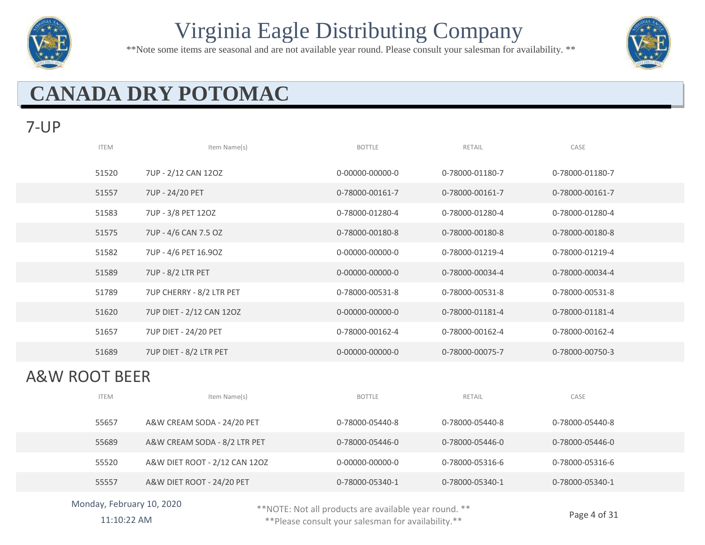

\*\*Note some items are seasonal and are not available year round. Please consult your salesman for availability. \*\*



# **CANADA DRY POTOMAC**

#### 7-UP

| <b>ITEM</b> | Item Name(s)                | <b>BOTTLE</b>   | RETAIL          | CASE            |
|-------------|-----------------------------|-----------------|-----------------|-----------------|
| 51520       | 7UP - 2/12 CAN 12OZ         | 0-00000-00000-0 | 0-78000-01180-7 | 0-78000-01180-7 |
| 51557       | 7UP - 24/20 PET             | 0-78000-00161-7 | 0-78000-00161-7 | 0-78000-00161-7 |
| 51583       | 7UP - 3/8 PET 120Z          | 0-78000-01280-4 | 0-78000-01280-4 | 0-78000-01280-4 |
| 51575       | 7UP - 4/6 CAN 7.5 OZ        | 0-78000-00180-8 | 0-78000-00180-8 | 0-78000-00180-8 |
| 51582       | 7UP - 4/6 PET 16.90Z        | 0-00000-00000-0 | 0-78000-01219-4 | 0-78000-01219-4 |
| 51589       | 7UP - 8/2 LTR PET           | 0-00000-00000-0 | 0-78000-00034-4 | 0-78000-00034-4 |
| 51789       | 7UP CHERRY - 8/2 LTR PET    | 0-78000-00531-8 | 0-78000-00531-8 | 0-78000-00531-8 |
| 51620       | 7UP DIET - 2/12 CAN 120Z    | 0-00000-00000-0 | 0-78000-01181-4 | 0-78000-01181-4 |
| 51657       | <b>7UP DIET - 24/20 PET</b> | 0-78000-00162-4 | 0-78000-00162-4 | 0-78000-00162-4 |
| 51689       | 7UP DIET - 8/2 LTR PET      | 0-00000-00000-0 | 0-78000-00075-7 | 0-78000-00750-3 |
|             |                             |                 |                 |                 |

#### A&W ROOT BEER

| <b>ITEM</b> | Item Name(s)                  | <b>BOTTLE</b>   | RETAIL          | CASE            |
|-------------|-------------------------------|-----------------|-----------------|-----------------|
| 55657       | A&W CREAM SODA - 24/20 PET    | 0-78000-05440-8 | 0-78000-05440-8 | 0-78000-05440-8 |
| 55689       | A&W CREAM SODA - 8/2 LTR PET  | 0-78000-05446-0 | 0-78000-05446-0 | 0-78000-05446-0 |
| 55520       | A&W DIET ROOT - 2/12 CAN 12OZ | 0-00000-00000-0 | 0-78000-05316-6 | 0-78000-05316-6 |
| 55557       | A&W DIET ROOT - 24/20 PET     | 0-78000-05340-1 | 0-78000-05340-1 | 0-78000-05340-1 |

#### Monday, February 10, 2020 11:10:22 AM

\*\*NOTE: Not all products are available year round. \*\*

Page 4 of 31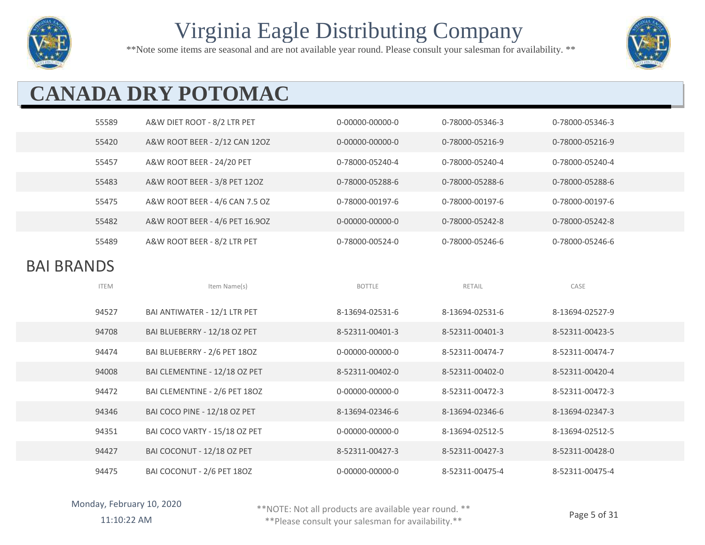

\*\*Note some items are seasonal and are not available year round. Please consult your salesman for availability. \*\*



# **CANADA DRY POTOMAC**

| 55589             | A&W DIET ROOT - 8/2 LTR PET    | 0-00000-00000-0 | 0-78000-05346-3 | 0-78000-05346-3 |  |  |
|-------------------|--------------------------------|-----------------|-----------------|-----------------|--|--|
| 55420             | A&W ROOT BEER - 2/12 CAN 12OZ  | 0-00000-00000-0 | 0-78000-05216-9 | 0-78000-05216-9 |  |  |
| 55457             | A&W ROOT BEER - 24/20 PET      | 0-78000-05240-4 | 0-78000-05240-4 | 0-78000-05240-4 |  |  |
| 55483             | A&W ROOT BEER - 3/8 PET 120Z   | 0-78000-05288-6 | 0-78000-05288-6 | 0-78000-05288-6 |  |  |
| 55475             | A&W ROOT BEER - 4/6 CAN 7.5 OZ | 0-78000-00197-6 | 0-78000-00197-6 | 0-78000-00197-6 |  |  |
| 55482             | A&W ROOT BEER - 4/6 PET 16.90Z | 0-00000-00000-0 | 0-78000-05242-8 | 0-78000-05242-8 |  |  |
| 55489             | A&W ROOT BEER - 8/2 LTR PET    | 0-78000-00524-0 | 0-78000-05246-6 | 0-78000-05246-6 |  |  |
| <b>BAI BRANDS</b> |                                |                 |                 |                 |  |  |
| <b>ITEM</b>       | Item Name(s)                   | <b>BOTTLE</b>   | RETAIL          | CASE            |  |  |
|                   |                                |                 |                 |                 |  |  |
| 94527             | BAI ANTIWATER - 12/1 LTR PET   | 8-13694-02531-6 | 8-13694-02531-6 | 8-13694-02527-9 |  |  |
| 94708             | BAI BLUEBERRY - 12/18 OZ PET   | 8-52311-00401-3 | 8-52311-00401-3 | 8-52311-00423-5 |  |  |
| 94474             | BAI BLUEBERRY - 2/6 PET 18OZ   | 0-00000-00000-0 | 8-52311-00474-7 | 8-52311-00474-7 |  |  |
| 94008             | BAI CLEMENTINE - 12/18 OZ PET  | 8-52311-00402-0 | 8-52311-00402-0 | 8-52311-00420-4 |  |  |
| 94472             | BAI CLEMENTINE - 2/6 PET 180Z  | 0-00000-00000-0 | 8-52311-00472-3 | 8-52311-00472-3 |  |  |
| 94346             | BAI COCO PINE - 12/18 OZ PET   | 8-13694-02346-6 | 8-13694-02346-6 | 8-13694-02347-3 |  |  |
| 94351             | BAI COCO VARTY - 15/18 OZ PET  | 0-00000-00000-0 | 8-13694-02512-5 | 8-13694-02512-5 |  |  |
| 94427             | BAI COCONUT - 12/18 OZ PET     | 8-52311-00427-3 | 8-52311-00427-3 | 8-52311-00428-0 |  |  |

\*\*NOTE: Not all products are available year round. \*\*

11:10:22 AM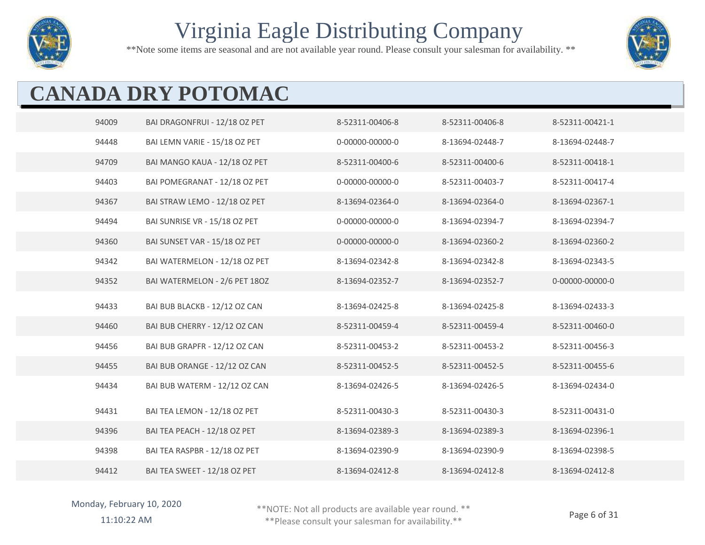

\*\*Note some items are seasonal and are not available year round. Please consult your salesman for availability. \*\*



# **CANADA DRY POTOMAC**

| 94009 | BAI DRAGONFRUI - 12/18 OZ PET | 8-52311-00406-8 | 8-52311-00406-8 | 8-52311-00421-1 |
|-------|-------------------------------|-----------------|-----------------|-----------------|
| 94448 | BAI LEMN VARIE - 15/18 OZ PET | 0-00000-00000-0 | 8-13694-02448-7 | 8-13694-02448-7 |
| 94709 | BAI MANGO KAUA - 12/18 OZ PET | 8-52311-00400-6 | 8-52311-00400-6 | 8-52311-00418-1 |
| 94403 | BAI POMEGRANAT - 12/18 OZ PET | 0-00000-00000-0 | 8-52311-00403-7 | 8-52311-00417-4 |
| 94367 | BAI STRAW LEMO - 12/18 OZ PET | 8-13694-02364-0 | 8-13694-02364-0 | 8-13694-02367-1 |
| 94494 | BAI SUNRISE VR - 15/18 OZ PET | 0-00000-00000-0 | 8-13694-02394-7 | 8-13694-02394-7 |
| 94360 | BAI SUNSET VAR - 15/18 OZ PET | 0-00000-00000-0 | 8-13694-02360-2 | 8-13694-02360-2 |
| 94342 | BAI WATERMELON - 12/18 OZ PET | 8-13694-02342-8 | 8-13694-02342-8 | 8-13694-02343-5 |
| 94352 | BAI WATERMELON - 2/6 PET 180Z | 8-13694-02352-7 | 8-13694-02352-7 | 0-00000-00000-0 |
| 94433 | BAI BUB BLACKB - 12/12 OZ CAN | 8-13694-02425-8 | 8-13694-02425-8 | 8-13694-02433-3 |
| 94460 | BAI BUB CHERRY - 12/12 OZ CAN | 8-52311-00459-4 | 8-52311-00459-4 | 8-52311-00460-0 |
| 94456 | BAI BUB GRAPFR - 12/12 OZ CAN | 8-52311-00453-2 | 8-52311-00453-2 | 8-52311-00456-3 |
| 94455 | BAI BUB ORANGE - 12/12 OZ CAN | 8-52311-00452-5 | 8-52311-00452-5 | 8-52311-00455-6 |
| 94434 | BAI BUB WATERM - 12/12 OZ CAN | 8-13694-02426-5 | 8-13694-02426-5 | 8-13694-02434-0 |
| 94431 | BAI TEA LEMON - 12/18 OZ PET  | 8-52311-00430-3 | 8-52311-00430-3 | 8-52311-00431-0 |
| 94396 | BAI TEA PEACH - 12/18 OZ PET  | 8-13694-02389-3 | 8-13694-02389-3 | 8-13694-02396-1 |
| 94398 | BAI TEA RASPBR - 12/18 OZ PET | 8-13694-02390-9 | 8-13694-02390-9 | 8-13694-02398-5 |
| 94412 | BAI TEA SWEET - 12/18 OZ PET  | 8-13694-02412-8 | 8-13694-02412-8 | 8-13694-02412-8 |

Monday, February 10, 2020

\*\*NOTE: Not all products are available year round. \*\*

11:10:22 AM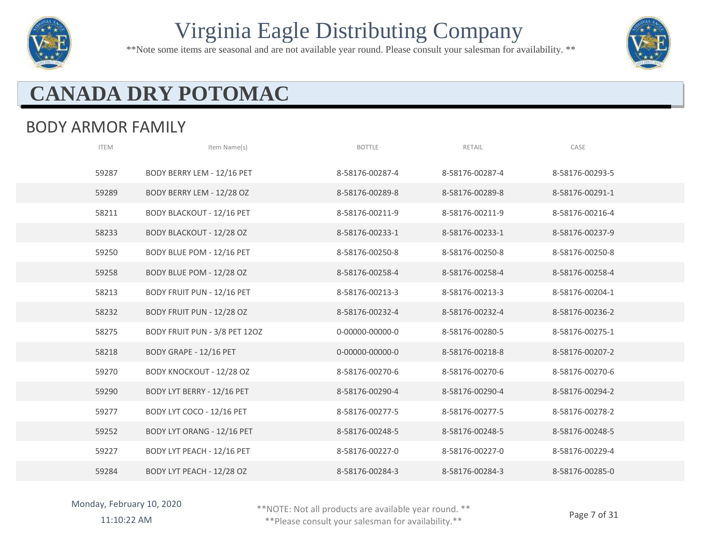

\*\*Note some items are seasonal and are not available year round. Please consult your salesman for availability. \*\*



# **CANADA DRY POTOMAC**

#### BODY ARMOR FAMILY

| <b>ITEM</b> | Item Name(s)                      | <b>BOTTLE</b>   | RETAIL          | CASE            |
|-------------|-----------------------------------|-----------------|-----------------|-----------------|
| 59287       | BODY BERRY LEM - 12/16 PET        | 8-58176-00287-4 | 8-58176-00287-4 | 8-58176-00293-5 |
| 59289       | BODY BERRY LEM - 12/28 OZ         | 8-58176-00289-8 | 8-58176-00289-8 | 8-58176-00291-1 |
| 58211       | <b>BODY BLACKOUT - 12/16 PET</b>  | 8-58176-00211-9 | 8-58176-00211-9 | 8-58176-00216-4 |
| 58233       | BODY BLACKOUT - 12/28 OZ          | 8-58176-00233-1 | 8-58176-00233-1 | 8-58176-00237-9 |
| 59250       | BODY BLUE POM - 12/16 PET         | 8-58176-00250-8 | 8-58176-00250-8 | 8-58176-00250-8 |
| 59258       | BODY BLUE POM - 12/28 OZ          | 8-58176-00258-4 | 8-58176-00258-4 | 8-58176-00258-4 |
| 58213       | <b>BODY FRUIT PUN - 12/16 PET</b> | 8-58176-00213-3 | 8-58176-00213-3 | 8-58176-00204-1 |
| 58232       | BODY FRUIT PUN - 12/28 OZ         | 8-58176-00232-4 | 8-58176-00232-4 | 8-58176-00236-2 |
| 58275       | BODY FRUIT PUN - 3/8 PET 12OZ     | 0-00000-00000-0 | 8-58176-00280-5 | 8-58176-00275-1 |
| 58218       | BODY GRAPE - 12/16 PET            | 0-00000-00000-0 | 8-58176-00218-8 | 8-58176-00207-2 |
| 59270       | BODY KNOCKOUT - 12/28 OZ          | 8-58176-00270-6 | 8-58176-00270-6 | 8-58176-00270-6 |
| 59290       | BODY LYT BERRY - 12/16 PET        | 8-58176-00290-4 | 8-58176-00290-4 | 8-58176-00294-2 |
| 59277       | BODY LYT COCO - 12/16 PET         | 8-58176-00277-5 | 8-58176-00277-5 | 8-58176-00278-2 |
| 59252       | BODY LYT ORANG - 12/16 PET        | 8-58176-00248-5 | 8-58176-00248-5 | 8-58176-00248-5 |
| 59227       | BODY LYT PEACH - 12/16 PET        | 8-58176-00227-0 | 8-58176-00227-0 | 8-58176-00229-4 |
| 59284       | BODY LYT PEACH - 12/28 OZ         | 8-58176-00284-3 | 8-58176-00284-3 | 8-58176-00285-0 |

\*\*NOTE: Not all products are available year round. \*\*

11:10:22 AM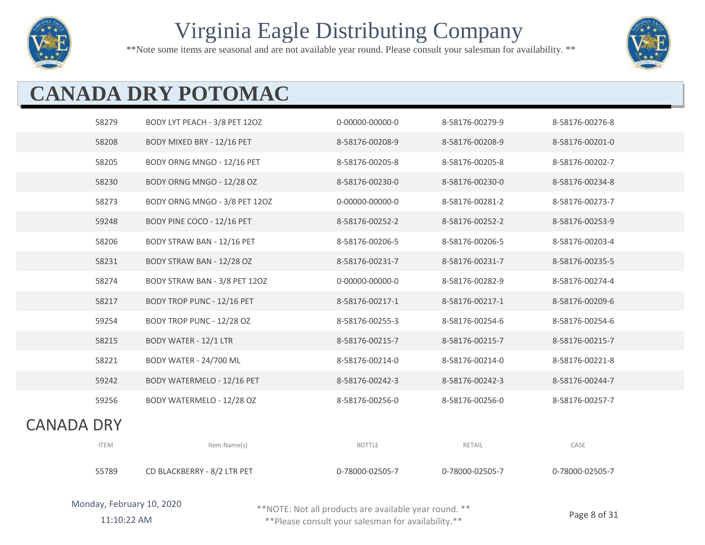

\*\*Note some items are seasonal and are not available year round. Please consult your salesman for availability. \*\*



# **CANADA DRY POTOMAC**

|                   | 58279       | BODY LYT PEACH - 3/8 PET 12OZ | 0-00000-00000-0 | 8-58176-00279-9 | 8-58176-00276-8 |
|-------------------|-------------|-------------------------------|-----------------|-----------------|-----------------|
|                   | 58208       | BODY MIXED BRY - 12/16 PET    | 8-58176-00208-9 | 8-58176-00208-9 | 8-58176-00201-0 |
|                   | 58205       | BODY ORNG MNGO - 12/16 PET    | 8-58176-00205-8 | 8-58176-00205-8 | 8-58176-00202-7 |
|                   | 58230       | BODY ORNG MNGO - 12/28 OZ     | 8-58176-00230-0 | 8-58176-00230-0 | 8-58176-00234-8 |
|                   | 58273       | BODY ORNG MNGO - 3/8 PET 12OZ | 0-00000-00000-0 | 8-58176-00281-2 | 8-58176-00273-7 |
|                   | 59248       | BODY PINE COCO - 12/16 PET    | 8-58176-00252-2 | 8-58176-00252-2 | 8-58176-00253-9 |
|                   | 58206       | BODY STRAW BAN - 12/16 PET    | 8-58176-00206-5 | 8-58176-00206-5 | 8-58176-00203-4 |
|                   | 58231       | BODY STRAW BAN - 12/28 OZ     | 8-58176-00231-7 | 8-58176-00231-7 | 8-58176-00235-5 |
|                   | 58274       | BODY STRAW BAN - 3/8 PET 12OZ | 0-00000-00000-0 | 8-58176-00282-9 | 8-58176-00274-4 |
|                   | 58217       | BODY TROP PUNC - 12/16 PET    | 8-58176-00217-1 | 8-58176-00217-1 | 8-58176-00209-6 |
|                   | 59254       | BODY TROP PUNC - 12/28 OZ     | 8-58176-00255-3 | 8-58176-00254-6 | 8-58176-00254-6 |
|                   | 58215       | <b>BODY WATER - 12/1 LTR</b>  | 8-58176-00215-7 | 8-58176-00215-7 | 8-58176-00215-7 |
|                   | 58221       | BODY WATER - 24/700 ML        | 8-58176-00214-0 | 8-58176-00214-0 | 8-58176-00221-8 |
|                   | 59242       | BODY WATERMELO - 12/16 PET    | 8-58176-00242-3 | 8-58176-00242-3 | 8-58176-00244-7 |
|                   | 59256       | BODY WATERMELO - 12/28 OZ     | 8-58176-00256-0 | 8-58176-00256-0 | 8-58176-00257-7 |
| <b>CANADA DRY</b> |             |                               |                 |                 |                 |
|                   | <b>ITEM</b> | Item Name(s)                  | <b>BOTTLE</b>   | RETAIL          | CASE            |

| I I E IVI | ICHII NCHIE(S)              | DUILLE          | <b>NETAIL</b>   | <b>LAJE</b>     |
|-----------|-----------------------------|-----------------|-----------------|-----------------|
| 55789     | CD BLACKBERRY - 8/2 LTR PET | 0-78000-02505-7 | 0-78000-02505-7 | 0-78000-02505-7 |

\*\*NOTE: Not all products are available year round. \*\* \*\*Please consult your salesman for availability.\*\*

11:10:22 AM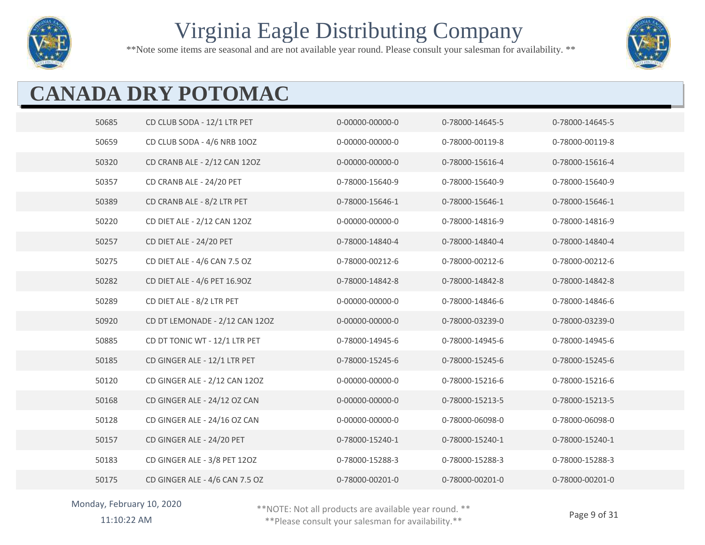

\*\*Note some items are seasonal and are not available year round. Please consult your salesman for availability. \*\*



# **CANADA DRY POTOMAC**

| 50685 | CD CLUB SODA - 12/1 LTR PET    | 0-00000-00000-0 | 0-78000-14645-5 | 0-78000-14645-5 |
|-------|--------------------------------|-----------------|-----------------|-----------------|
| 50659 | CD CLUB SODA - 4/6 NRB 10OZ    | 0-00000-00000-0 | 0-78000-00119-8 | 0-78000-00119-8 |
| 50320 | CD CRANB ALE - 2/12 CAN 12OZ   | 0-00000-00000-0 | 0-78000-15616-4 | 0-78000-15616-4 |
| 50357 | CD CRANB ALE - 24/20 PET       | 0-78000-15640-9 | 0-78000-15640-9 | 0-78000-15640-9 |
| 50389 | CD CRANB ALE - 8/2 LTR PET     | 0-78000-15646-1 | 0-78000-15646-1 | 0-78000-15646-1 |
| 50220 | CD DIET ALE - 2/12 CAN 12OZ    | 0-00000-00000-0 | 0-78000-14816-9 | 0-78000-14816-9 |
| 50257 | CD DIET ALE - 24/20 PET        | 0-78000-14840-4 | 0-78000-14840-4 | 0-78000-14840-4 |
| 50275 | CD DIET ALE - 4/6 CAN 7.5 OZ   | 0-78000-00212-6 | 0-78000-00212-6 | 0-78000-00212-6 |
| 50282 | CD DIET ALE - 4/6 PET 16.90Z   | 0-78000-14842-8 | 0-78000-14842-8 | 0-78000-14842-8 |
| 50289 | CD DIET ALE - 8/2 LTR PET      | 0-00000-00000-0 | 0-78000-14846-6 | 0-78000-14846-6 |
| 50920 | CD DT LEMONADE - 2/12 CAN 12OZ | 0-00000-00000-0 | 0-78000-03239-0 | 0-78000-03239-0 |
| 50885 | CD DT TONIC WT - 12/1 LTR PET  | 0-78000-14945-6 | 0-78000-14945-6 | 0-78000-14945-6 |
| 50185 | CD GINGER ALE - 12/1 LTR PET   | 0-78000-15245-6 | 0-78000-15245-6 | 0-78000-15245-6 |
| 50120 | CD GINGER ALE - 2/12 CAN 12OZ  | 0-00000-00000-0 | 0-78000-15216-6 | 0-78000-15216-6 |
| 50168 | CD GINGER ALE - 24/12 OZ CAN   | 0-00000-00000-0 | 0-78000-15213-5 | 0-78000-15213-5 |
| 50128 | CD GINGER ALE - 24/16 OZ CAN   | 0-00000-00000-0 | 0-78000-06098-0 | 0-78000-06098-0 |
| 50157 | CD GINGER ALE - 24/20 PET      | 0-78000-15240-1 | 0-78000-15240-1 | 0-78000-15240-1 |
| 50183 | CD GINGER ALE - 3/8 PET 12OZ   | 0-78000-15288-3 | 0-78000-15288-3 | 0-78000-15288-3 |
| 50175 | CD GINGER ALE - 4/6 CAN 7.5 OZ | 0-78000-00201-0 | 0-78000-00201-0 | 0-78000-00201-0 |

#### Monday, February 10, 2020

\*\*NOTE: Not all products are available year round. \*\*

11:10:22 AM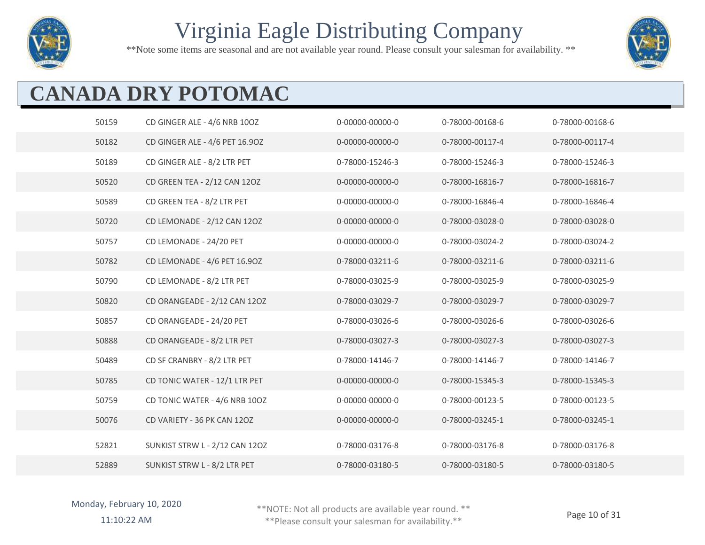

\*\*Note some items are seasonal and are not available year round. Please consult your salesman for availability. \*\*



# **CANADA DRY POTOMAC**

| 50159 | CD GINGER ALE - 4/6 NRB 10OZ   | 0-00000-00000-0 | 0-78000-00168-6 | 0-78000-00168-6 |
|-------|--------------------------------|-----------------|-----------------|-----------------|
| 50182 | CD GINGER ALE - 4/6 PET 16.90Z | 0-00000-00000-0 | 0-78000-00117-4 | 0-78000-00117-4 |
| 50189 | CD GINGER ALE - 8/2 LTR PET    | 0-78000-15246-3 | 0-78000-15246-3 | 0-78000-15246-3 |
| 50520 | CD GREEN TEA - 2/12 CAN 12OZ   | 0-00000-00000-0 | 0-78000-16816-7 | 0-78000-16816-7 |
| 50589 | CD GREEN TEA - 8/2 LTR PET     | 0-00000-00000-0 | 0-78000-16846-4 | 0-78000-16846-4 |
| 50720 | CD LEMONADE - 2/12 CAN 12OZ    | 0-00000-00000-0 | 0-78000-03028-0 | 0-78000-03028-0 |
| 50757 | CD LEMONADE - 24/20 PET        | 0-00000-00000-0 | 0-78000-03024-2 | 0-78000-03024-2 |
| 50782 | CD LEMONADE - 4/6 PET 16.90Z   | 0-78000-03211-6 | 0-78000-03211-6 | 0-78000-03211-6 |
| 50790 | CD LEMONADE - 8/2 LTR PET      | 0-78000-03025-9 | 0-78000-03025-9 | 0-78000-03025-9 |
| 50820 | CD ORANGEADE - 2/12 CAN 12OZ   | 0-78000-03029-7 | 0-78000-03029-7 | 0-78000-03029-7 |
| 50857 | CD ORANGEADE - 24/20 PET       | 0-78000-03026-6 | 0-78000-03026-6 | 0-78000-03026-6 |
| 50888 | CD ORANGEADE - 8/2 LTR PET     | 0-78000-03027-3 | 0-78000-03027-3 | 0-78000-03027-3 |
| 50489 | CD SF CRANBRY - 8/2 LTR PET    | 0-78000-14146-7 | 0-78000-14146-7 | 0-78000-14146-7 |
| 50785 | CD TONIC WATER - 12/1 LTR PET  | 0-00000-00000-0 | 0-78000-15345-3 | 0-78000-15345-3 |
| 50759 | CD TONIC WATER - 4/6 NRB 100Z  | 0-00000-00000-0 | 0-78000-00123-5 | 0-78000-00123-5 |
| 50076 | CD VARIETY - 36 PK CAN 120Z    | 0-00000-00000-0 | 0-78000-03245-1 | 0-78000-03245-1 |
| 52821 | SUNKIST STRW L - 2/12 CAN 12OZ | 0-78000-03176-8 | 0-78000-03176-8 | 0-78000-03176-8 |
| 52889 | SUNKIST STRW L - 8/2 LTR PET   | 0-78000-03180-5 | 0-78000-03180-5 | 0-78000-03180-5 |

Monday, February 10, 2020 11:10:22 AM

\*\*NOTE: Not all products are available year round. \*\*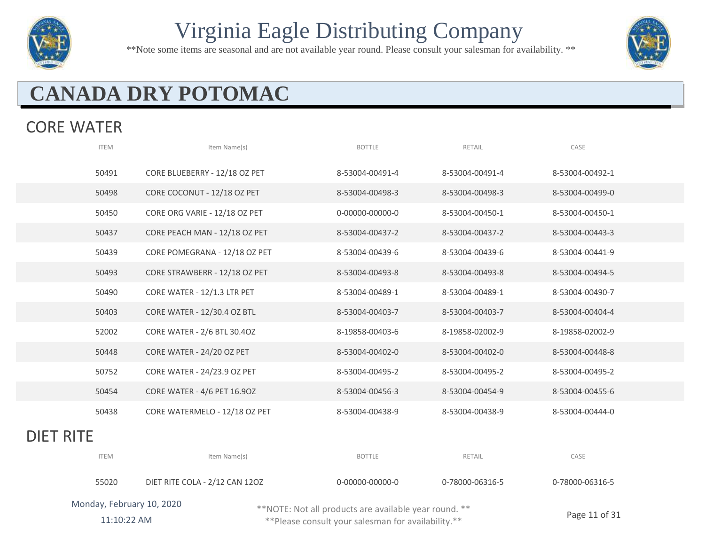

\*\*Note some items are seasonal and are not available year round. Please consult your salesman for availability. \*\*



# **CANADA DRY POTOMAC**

#### CORE WATER

|                  | <b>ITEM</b>               | Item Name(s)                   | <b>BOTTLE</b>                                         | RETAIL          | CASE            |  |
|------------------|---------------------------|--------------------------------|-------------------------------------------------------|-----------------|-----------------|--|
|                  | 50491                     | CORE BLUEBERRY - 12/18 OZ PET  | 8-53004-00491-4                                       | 8-53004-00491-4 | 8-53004-00492-1 |  |
|                  | 50498                     | CORE COCONUT - 12/18 OZ PET    | 8-53004-00498-3                                       | 8-53004-00498-3 | 8-53004-00499-0 |  |
|                  | 50450                     | CORE ORG VARIE - 12/18 OZ PET  | 0-00000-00000-0                                       | 8-53004-00450-1 | 8-53004-00450-1 |  |
|                  | 50437                     | CORE PEACH MAN - 12/18 OZ PET  | 8-53004-00437-2                                       | 8-53004-00437-2 | 8-53004-00443-3 |  |
|                  | 50439                     | CORE POMEGRANA - 12/18 OZ PET  | 8-53004-00439-6                                       | 8-53004-00439-6 | 8-53004-00441-9 |  |
|                  | 50493                     | CORE STRAWBERR - 12/18 OZ PET  | 8-53004-00493-8                                       | 8-53004-00493-8 | 8-53004-00494-5 |  |
|                  | 50490                     | CORE WATER - 12/1.3 LTR PET    | 8-53004-00489-1                                       | 8-53004-00489-1 | 8-53004-00490-7 |  |
|                  | 50403                     | CORE WATER - 12/30.4 OZ BTL    | 8-53004-00403-7                                       | 8-53004-00403-7 | 8-53004-00404-4 |  |
|                  | 52002                     | CORE WATER - 2/6 BTL 30.40Z    | 8-19858-00403-6                                       | 8-19858-02002-9 | 8-19858-02002-9 |  |
|                  | 50448                     | CORE WATER - 24/20 OZ PET      | 8-53004-00402-0                                       | 8-53004-00402-0 | 8-53004-00448-8 |  |
|                  | 50752                     | CORE WATER - 24/23.9 OZ PET    | 8-53004-00495-2                                       | 8-53004-00495-2 | 8-53004-00495-2 |  |
|                  | 50454                     | CORE WATER - 4/6 PET 16.90Z    | 8-53004-00456-3                                       | 8-53004-00454-9 | 8-53004-00455-6 |  |
|                  | 50438                     | CORE WATERMELO - 12/18 OZ PET  | 8-53004-00438-9                                       | 8-53004-00438-9 | 8-53004-00444-0 |  |
| <b>DIET RITE</b> |                           |                                |                                                       |                 |                 |  |
|                  | <b>ITEM</b>               | Item Name(s)                   | <b>BOTTLE</b>                                         | RETAIL          | CASE            |  |
|                  | 55020                     | DIET RITE COLA - 2/12 CAN 12OZ | 0-00000-00000-0                                       | 0-78000-06316-5 | 0-78000-06316-5 |  |
|                  | Monday, February 10, 2020 |                                | **NOTE: Not all products are available year round. ** |                 |                 |  |

11:10:22 AM

\*\*NOTE: Not all products are available year round. \*\*

Page 11 of 31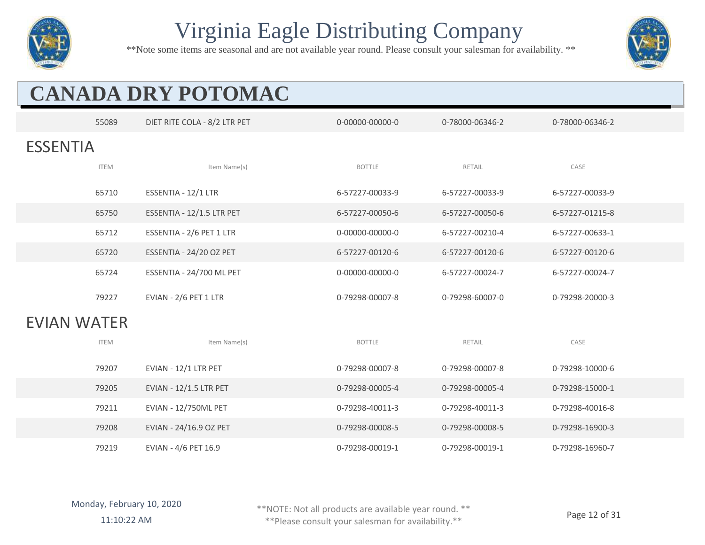

\*\*Note some items are seasonal and are not available year round. Please consult your salesman for availability. \*\*



# **CANADA DRY POTOMAC**

|                    | 55089       | DIET RITE COLA - 8/2 LTR PET  | 0-00000-00000-0 | 0-78000-06346-2 | 0-78000-06346-2 |
|--------------------|-------------|-------------------------------|-----------------|-----------------|-----------------|
| <b>ESSENTIA</b>    |             |                               |                 |                 |                 |
|                    | <b>ITEM</b> | Item Name(s)                  | <b>BOTTLE</b>   | RETAIL          | CASE            |
|                    |             |                               |                 |                 |                 |
|                    | 65710       | ESSENTIA - 12/1 LTR           | 6-57227-00033-9 | 6-57227-00033-9 | 6-57227-00033-9 |
|                    | 65750       | ESSENTIA - 12/1.5 LTR PET     | 6-57227-00050-6 | 6-57227-00050-6 | 6-57227-01215-8 |
|                    | 65712       | ESSENTIA - 2/6 PET 1 LTR      | 0-00000-00000-0 | 6-57227-00210-4 | 6-57227-00633-1 |
|                    | 65720       | ESSENTIA - 24/20 OZ PET       | 6-57227-00120-6 | 6-57227-00120-6 | 6-57227-00120-6 |
|                    | 65724       | ESSENTIA - 24/700 ML PET      | 0-00000-00000-0 | 6-57227-00024-7 | 6-57227-00024-7 |
|                    | 79227       | EVIAN - 2/6 PET 1 LTR         | 0-79298-00007-8 | 0-79298-60007-0 | 0-79298-20000-3 |
|                    |             |                               |                 |                 |                 |
| <b>EVIAN WATER</b> |             |                               |                 |                 |                 |
|                    | <b>ITEM</b> | Item Name(s)                  | <b>BOTTLE</b>   | RETAIL          | CASE            |
|                    | 79207       | EVIAN - 12/1 LTR PET          | 0-79298-00007-8 | 0-79298-00007-8 | 0-79298-10000-6 |
|                    | 79205       | <b>EVIAN - 12/1.5 LTR PET</b> | 0-79298-00005-4 | 0-79298-00005-4 | 0-79298-15000-1 |
|                    | 79211       | EVIAN - 12/750ML PET          | 0-79298-40011-3 | 0-79298-40011-3 | 0-79298-40016-8 |
|                    | 79208       | EVIAN - 24/16.9 OZ PET        | 0-79298-00008-5 | 0-79298-00008-5 | 0-79298-16900-3 |
|                    | 79219       | EVIAN - 4/6 PET 16.9          | 0-79298-00019-1 | 0-79298-00019-1 | 0-79298-16960-7 |

\*\*NOTE: Not all products are available year round. \*\*

11:10:22 AM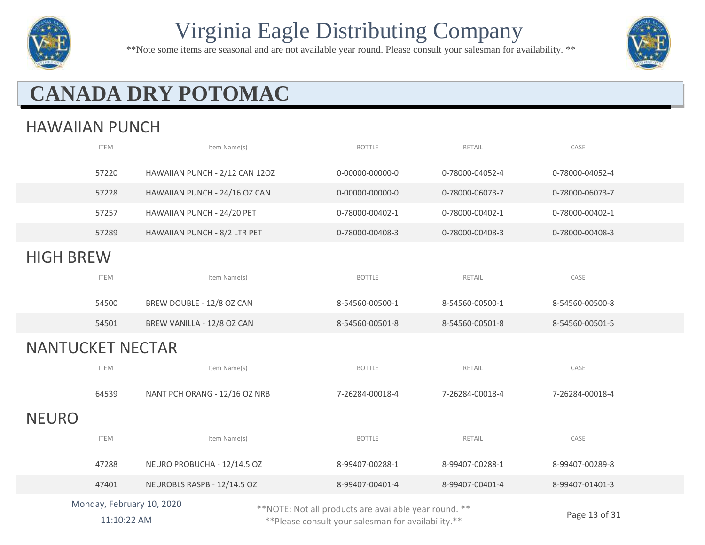

\*\*Note some items are seasonal and are not available year round. Please consult your salesman for availability. \*\*



# **CANADA DRY POTOMAC**

#### HAWAIIAN PUNCH

|                         | <b>ITEM</b>               | Item Name(s)                   | <b>BOTTLE</b>                                         | RETAIL          | CASE                        |
|-------------------------|---------------------------|--------------------------------|-------------------------------------------------------|-----------------|-----------------------------|
|                         | 57220                     | HAWAIIAN PUNCH - 2/12 CAN 12OZ | 0-00000-00000-0                                       | 0-78000-04052-4 | 0-78000-04052-4             |
|                         | 57228                     | HAWAIIAN PUNCH - 24/16 OZ CAN  | 0-00000-00000-0                                       | 0-78000-06073-7 | 0-78000-06073-7             |
|                         | 57257                     | HAWAIIAN PUNCH - 24/20 PET     | 0-78000-00402-1                                       | 0-78000-00402-1 | 0-78000-00402-1             |
|                         | 57289                     | HAWAIIAN PUNCH - 8/2 LTR PET   | 0-78000-00408-3                                       | 0-78000-00408-3 | 0-78000-00408-3             |
| <b>HIGH BREW</b>        |                           |                                |                                                       |                 |                             |
|                         | <b>ITEM</b>               | Item Name(s)                   | <b>BOTTLE</b>                                         | RETAIL          | CASE                        |
|                         | 54500                     | BREW DOUBLE - 12/8 OZ CAN      | 8-54560-00500-1                                       | 8-54560-00500-1 | 8-54560-00500-8             |
|                         | 54501                     | BREW VANILLA - 12/8 OZ CAN     | 8-54560-00501-8                                       | 8-54560-00501-8 | 8-54560-00501-5             |
| <b>NANTUCKET NECTAR</b> |                           |                                |                                                       |                 |                             |
|                         | <b>ITEM</b>               | Item Name(s)                   | <b>BOTTLE</b>                                         | RETAIL          | CASE                        |
|                         | 64539                     | NANT PCH ORANG - 12/16 OZ NRB  | 7-26284-00018-4                                       | 7-26284-00018-4 | 7-26284-00018-4             |
| <b>NEURO</b>            |                           |                                |                                                       |                 |                             |
|                         | <b>ITEM</b>               | Item Name(s)                   | <b>BOTTLE</b>                                         | RETAIL          | CASE                        |
|                         | 47288                     | NEURO PROBUCHA - 12/14.5 OZ    | 8-99407-00288-1                                       | 8-99407-00288-1 | 8-99407-00289-8             |
|                         | 47401                     | NEUROBLS RASPB - 12/14.5 OZ    | 8-99407-00401-4                                       | 8-99407-00401-4 | 8-99407-01401-3             |
|                         | Monday, February 10, 2020 |                                | **NOTE: Not all products are available year round. ** |                 | $P$ <sub>200</sub> 13 of 31 |

11:10:22 AM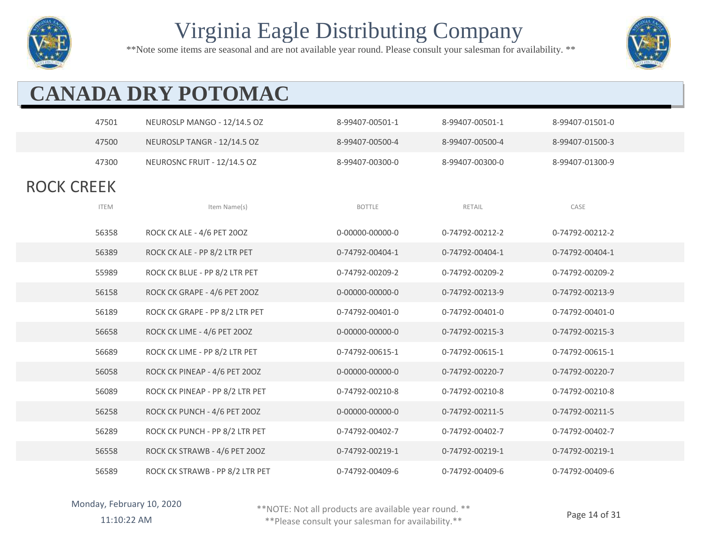

\*\*Note some items are seasonal and are not available year round. Please consult your salesman for availability. \*\*



# **CANADA DRY POTOMAC**

|                   | 47501       | NEUROSLP MANGO - 12/14.5 OZ     | 8-99407-00501-1 | 8-99407-00501-1 | 8-99407-01501-0 |
|-------------------|-------------|---------------------------------|-----------------|-----------------|-----------------|
|                   | 47500       | NEUROSLP TANGR - 12/14.5 OZ     | 8-99407-00500-4 | 8-99407-00500-4 | 8-99407-01500-3 |
|                   | 47300       | NEUROSNC FRUIT - 12/14.5 OZ     | 8-99407-00300-0 | 8-99407-00300-0 | 8-99407-01300-9 |
| <b>ROCK CREEK</b> |             |                                 |                 |                 |                 |
|                   | <b>ITEM</b> | Item Name(s)                    | <b>BOTTLE</b>   | RETAIL          | CASE            |
|                   | 56358       | ROCK CK ALE - 4/6 PET 200Z      | 0-00000-00000-0 | 0-74792-00212-2 | 0-74792-00212-2 |
|                   | 56389       | ROCK CK ALE - PP 8/2 LTR PET    | 0-74792-00404-1 | 0-74792-00404-1 | 0-74792-00404-1 |
|                   | 55989       | ROCK CK BLUE - PP 8/2 LTR PET   | 0-74792-00209-2 | 0-74792-00209-2 | 0-74792-00209-2 |
|                   | 56158       | ROCK CK GRAPE - 4/6 PET 200Z    | 0-00000-00000-0 | 0-74792-00213-9 | 0-74792-00213-9 |
|                   | 56189       | ROCK CK GRAPE - PP 8/2 LTR PET  | 0-74792-00401-0 | 0-74792-00401-0 | 0-74792-00401-0 |
|                   | 56658       | ROCK CK LIME - 4/6 PET 200Z     | 0-00000-00000-0 | 0-74792-00215-3 | 0-74792-00215-3 |
|                   | 56689       | ROCK CK LIME - PP 8/2 LTR PET   | 0-74792-00615-1 | 0-74792-00615-1 | 0-74792-00615-1 |
|                   | 56058       | ROCK CK PINEAP - 4/6 PET 200Z   | 0-00000-00000-0 | 0-74792-00220-7 | 0-74792-00220-7 |
|                   | 56089       | ROCK CK PINEAP - PP 8/2 LTR PET | 0-74792-00210-8 | 0-74792-00210-8 | 0-74792-00210-8 |
|                   | 56258       | ROCK CK PUNCH - 4/6 PET 200Z    | 0-00000-00000-0 | 0-74792-00211-5 | 0-74792-00211-5 |
|                   | 56289       | ROCK CK PUNCH - PP 8/2 LTR PET  | 0-74792-00402-7 | 0-74792-00402-7 | 0-74792-00402-7 |
|                   | 56558       | ROCK CK STRAWB - 4/6 PET 200Z   | 0-74792-00219-1 | 0-74792-00219-1 | 0-74792-00219-1 |
|                   | 56589       | ROCK CK STRAWB - PP 8/2 LTR PET | 0-74792-00409-6 | 0-74792-00409-6 | 0-74792-00409-6 |

\*\*NOTE: Not all products are available year round. \*\*

11:10:22 AM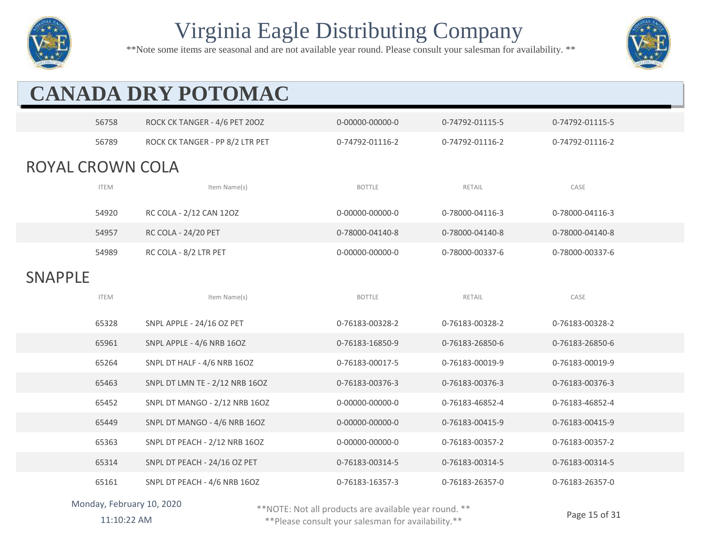

\*\*Note some items are seasonal and are not available year round. Please consult your salesman for availability. \*\*



## **CANADA DRY POTOMAC**  56758 ROCK CK TANGER - 4/6 PET 20OZ 0-00000-00000-0 0-74792-01115-5 0-74792-01115-5 56789 ROCK CK TANGER - PP 8/2 LTR PET 0-74792-01116-2 0-74792-01116-2 0-74792-01116-2 ROYAL CROWN COLA

| <b>ITEM</b> | Item Name(s)               | <b>BOTTLE</b>   | RETAIL          | CASE            |
|-------------|----------------------------|-----------------|-----------------|-----------------|
| 54920       | RC COLA - 2/12 CAN 12OZ    | 0-00000-00000-0 | 0-78000-04116-3 | 0-78000-04116-3 |
| 54957       | <b>RC COLA - 24/20 PET</b> | 0-78000-04140-8 | 0-78000-04140-8 | 0-78000-04140-8 |
| 54989       | RC COLA - 8/2 LTR PET      | 0-00000-00000-0 | 0-78000-00337-6 | 0-78000-00337-6 |

SNAPPLE

| <b>ITEM</b> | Item Name(s)                   | <b>BOTTLE</b>   | RETAIL          | CASE            |  |
|-------------|--------------------------------|-----------------|-----------------|-----------------|--|
| 65328       | SNPL APPLE - 24/16 OZ PET      | 0-76183-00328-2 | 0-76183-00328-2 | 0-76183-00328-2 |  |
| 65961       | SNPL APPLE - 4/6 NRB 16OZ      | 0-76183-16850-9 | 0-76183-26850-6 | 0-76183-26850-6 |  |
| 65264       | SNPL DT HALF - 4/6 NRB 16OZ    | 0-76183-00017-5 | 0-76183-00019-9 | 0-76183-00019-9 |  |
| 65463       | SNPL DT LMN TE - 2/12 NRB 16OZ | 0-76183-00376-3 | 0-76183-00376-3 | 0-76183-00376-3 |  |
| 65452       | SNPL DT MANGO - 2/12 NRB 16OZ  | 0-00000-00000-0 | 0-76183-46852-4 | 0-76183-46852-4 |  |
| 65449       | SNPL DT MANGO - 4/6 NRB 16OZ   | 0-00000-00000-0 | 0-76183-00415-9 | 0-76183-00415-9 |  |
| 65363       | SNPL DT PEACH - 2/12 NRB 16OZ  | 0-00000-00000-0 | 0-76183-00357-2 | 0-76183-00357-2 |  |
| 65314       | SNPL DT PEACH - 24/16 OZ PET   | 0-76183-00314-5 | 0-76183-00314-5 | 0-76183-00314-5 |  |
| 65161       | SNPL DT PEACH - 4/6 NRB 16OZ   | 0-76183-16357-3 | 0-76183-26357-0 | 0-76183-26357-0 |  |

#### Monday, February 10, 2020

\*\*NOTE: Not all products are available year round. \*\*

11:10:22 AM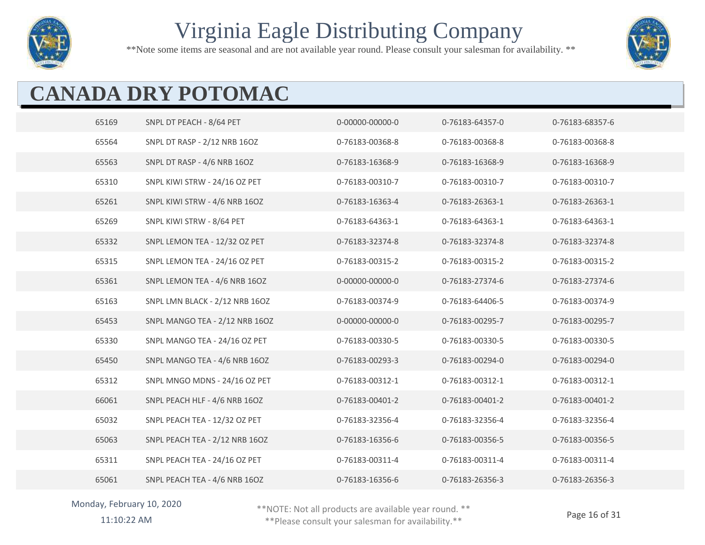

\*\*Note some items are seasonal and are not available year round. Please consult your salesman for availability. \*\*



# **CANADA DRY POTOMAC**

| 65169 | SNPL DT PEACH - 8/64 PET       | 0-00000-00000-0 | 0-76183-64357-0 | 0-76183-68357-6 |
|-------|--------------------------------|-----------------|-----------------|-----------------|
| 65564 | SNPL DT RASP - 2/12 NRB 16OZ   | 0-76183-00368-8 | 0-76183-00368-8 | 0-76183-00368-8 |
| 65563 | SNPL DT RASP - 4/6 NRB 16OZ    | 0-76183-16368-9 | 0-76183-16368-9 | 0-76183-16368-9 |
| 65310 | SNPL KIWI STRW - 24/16 OZ PET  | 0-76183-00310-7 | 0-76183-00310-7 | 0-76183-00310-7 |
| 65261 | SNPL KIWI STRW - 4/6 NRB 16OZ  | 0-76183-16363-4 | 0-76183-26363-1 | 0-76183-26363-1 |
| 65269 | SNPL KIWI STRW - 8/64 PET      | 0-76183-64363-1 | 0-76183-64363-1 | 0-76183-64363-1 |
| 65332 | SNPL LEMON TEA - 12/32 OZ PET  | 0-76183-32374-8 | 0-76183-32374-8 | 0-76183-32374-8 |
| 65315 | SNPL LEMON TEA - 24/16 OZ PET  | 0-76183-00315-2 | 0-76183-00315-2 | 0-76183-00315-2 |
| 65361 | SNPL LEMON TEA - 4/6 NRB 16OZ  | 0-00000-00000-0 | 0-76183-27374-6 | 0-76183-27374-6 |
| 65163 | SNPL LMN BLACK - 2/12 NRB 16OZ | 0-76183-00374-9 | 0-76183-64406-5 | 0-76183-00374-9 |
| 65453 | SNPL MANGO TEA - 2/12 NRB 16OZ | 0-00000-00000-0 | 0-76183-00295-7 | 0-76183-00295-7 |
| 65330 | SNPL MANGO TEA - 24/16 OZ PET  | 0-76183-00330-5 | 0-76183-00330-5 | 0-76183-00330-5 |
| 65450 | SNPL MANGO TEA - 4/6 NRB 16OZ  | 0-76183-00293-3 | 0-76183-00294-0 | 0-76183-00294-0 |
| 65312 | SNPL MNGO MDNS - 24/16 OZ PET  | 0-76183-00312-1 | 0-76183-00312-1 | 0-76183-00312-1 |
| 66061 | SNPL PEACH HLF - 4/6 NRB 16OZ  | 0-76183-00401-2 | 0-76183-00401-2 | 0-76183-00401-2 |
| 65032 | SNPL PEACH TEA - 12/32 OZ PET  | 0-76183-32356-4 | 0-76183-32356-4 | 0-76183-32356-4 |
| 65063 | SNPL PEACH TEA - 2/12 NRB 16OZ | 0-76183-16356-6 | 0-76183-00356-5 | 0-76183-00356-5 |
| 65311 | SNPL PEACH TEA - 24/16 OZ PET  | 0-76183-00311-4 | 0-76183-00311-4 | 0-76183-00311-4 |
| 65061 | SNPL PEACH TEA - 4/6 NRB 16OZ  | 0-76183-16356-6 | 0-76183-26356-3 | 0-76183-26356-3 |

#### Monday, February 10, 2020

\*\*NOTE: Not all products are available year round. \*\*

11:10:22 AM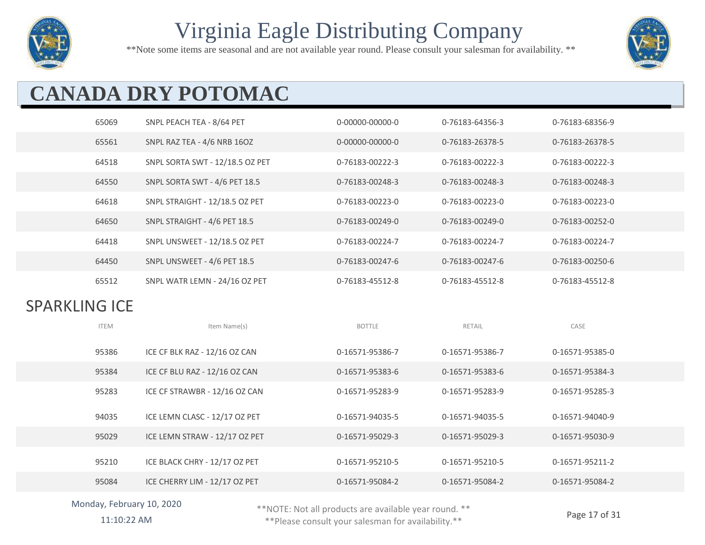

\*\*Note some items are seasonal and are not available year round. Please consult your salesman for availability. \*\*



# **CANADA DRY POTOMAC**

|                      | 65069       | SNPL PEACH TEA - 8/64 PET       | 0-00000-00000-0 | 0-76183-64356-3 | 0-76183-68356-9 |
|----------------------|-------------|---------------------------------|-----------------|-----------------|-----------------|
|                      | 65561       | SNPL RAZ TEA - 4/6 NRB 16OZ     | 0-00000-00000-0 | 0-76183-26378-5 | 0-76183-26378-5 |
|                      | 64518       | SNPL SORTA SWT - 12/18.5 OZ PET | 0-76183-00222-3 | 0-76183-00222-3 | 0-76183-00222-3 |
|                      | 64550       | SNPL SORTA SWT - 4/6 PET 18.5   | 0-76183-00248-3 | 0-76183-00248-3 | 0-76183-00248-3 |
|                      | 64618       | SNPL STRAIGHT - 12/18.5 OZ PET  | 0-76183-00223-0 | 0-76183-00223-0 | 0-76183-00223-0 |
|                      | 64650       | SNPL STRAIGHT - 4/6 PET 18.5    | 0-76183-00249-0 | 0-76183-00249-0 | 0-76183-00252-0 |
|                      | 64418       | SNPL UNSWEET - 12/18.5 OZ PET   | 0-76183-00224-7 | 0-76183-00224-7 | 0-76183-00224-7 |
|                      | 64450       | SNPL UNSWEET - 4/6 PET 18.5     | 0-76183-00247-6 | 0-76183-00247-6 | 0-76183-00250-6 |
|                      | 65512       | SNPL WATR LEMN - 24/16 OZ PET   | 0-76183-45512-8 | 0-76183-45512-8 | 0-76183-45512-8 |
| <b>SPARKLING ICE</b> |             |                                 |                 |                 |                 |
|                      |             |                                 |                 |                 |                 |
|                      | <b>ITEM</b> | Item Name(s)                    | <b>BOTTLE</b>   | RETAIL          | CASE            |
|                      | 95386       | ICE CF BLK RAZ - 12/16 OZ CAN   | 0-16571-95386-7 | 0-16571-95386-7 | 0-16571-95385-0 |
|                      | 95384       | ICE CF BLU RAZ - 12/16 OZ CAN   | 0-16571-95383-6 | 0-16571-95383-6 | 0-16571-95384-3 |
|                      | 95283       | ICE CF STRAWBR - 12/16 OZ CAN   | 0-16571-95283-9 | 0-16571-95283-9 | 0-16571-95285-3 |
|                      | 94035       | ICE LEMN CLASC - 12/17 OZ PET   | 0-16571-94035-5 | 0-16571-94035-5 | 0-16571-94040-9 |
|                      | 95029       | ICE LEMN STRAW - 12/17 OZ PET   | 0-16571-95029-3 | 0-16571-95029-3 | 0-16571-95030-9 |
|                      | 95210       | ICE BLACK CHRY - 12/17 OZ PET   | 0-16571-95210-5 | 0-16571-95210-5 | 0-16571-95211-2 |
|                      | 95084       | ICE CHERRY LIM - 12/17 OZ PET   | 0-16571-95084-2 | 0-16571-95084-2 | 0-16571-95084-2 |

#### Monday, February 10, 2020

\*\*NOTE: Not all products are available year round. \*\*

11:10:22 AM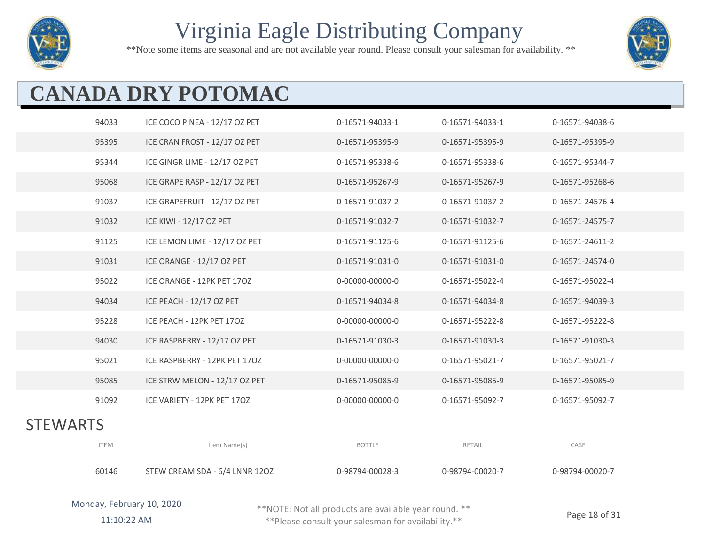

\*\*Note some items are seasonal and are not available year round. Please consult your salesman for availability. \*\*



# **CANADA DRY POTOMAC**

|                 | 94033       | ICE COCO PINEA - 12/17 OZ PET | 0-16571-94033-1 | 0-16571-94033-1 | 0-16571-94038-6 |
|-----------------|-------------|-------------------------------|-----------------|-----------------|-----------------|
|                 | 95395       | ICE CRAN FROST - 12/17 OZ PET | 0-16571-95395-9 | 0-16571-95395-9 | 0-16571-95395-9 |
|                 | 95344       | ICE GINGR LIME - 12/17 OZ PET | 0-16571-95338-6 | 0-16571-95338-6 | 0-16571-95344-7 |
|                 | 95068       | ICE GRAPE RASP - 12/17 OZ PET | 0-16571-95267-9 | 0-16571-95267-9 | 0-16571-95268-6 |
|                 | 91037       | ICE GRAPEFRUIT - 12/17 OZ PET | 0-16571-91037-2 | 0-16571-91037-2 | 0-16571-24576-4 |
|                 | 91032       | ICE KIWI - 12/17 OZ PET       | 0-16571-91032-7 | 0-16571-91032-7 | 0-16571-24575-7 |
|                 | 91125       | ICE LEMON LIME - 12/17 OZ PET | 0-16571-91125-6 | 0-16571-91125-6 | 0-16571-24611-2 |
|                 | 91031       | ICE ORANGE - 12/17 OZ PET     | 0-16571-91031-0 | 0-16571-91031-0 | 0-16571-24574-0 |
|                 | 95022       | ICE ORANGE - 12PK PET 17OZ    | 0-00000-00000-0 | 0-16571-95022-4 | 0-16571-95022-4 |
|                 | 94034       | ICE PEACH - 12/17 OZ PET      | 0-16571-94034-8 | 0-16571-94034-8 | 0-16571-94039-3 |
|                 | 95228       | ICE PEACH - 12PK PET 170Z     | 0-00000-00000-0 | 0-16571-95222-8 | 0-16571-95222-8 |
|                 | 94030       | ICE RASPBERRY - 12/17 OZ PET  | 0-16571-91030-3 | 0-16571-91030-3 | 0-16571-91030-3 |
|                 | 95021       | ICE RASPBERRY - 12PK PET 17OZ | 0-00000-00000-0 | 0-16571-95021-7 | 0-16571-95021-7 |
|                 | 95085       | ICE STRW MELON - 12/17 OZ PET | 0-16571-95085-9 | 0-16571-95085-9 | 0-16571-95085-9 |
|                 | 91092       | ICE VARIETY - 12PK PET 170Z   | 0-00000-00000-0 | 0-16571-95092-7 | 0-16571-95092-7 |
| <b>STEWARTS</b> |             |                               |                 |                 |                 |
|                 | <b>ITEM</b> | Item Name(s)                  | <b>BOTTLE</b>   | RETAIL          | CASE            |

| 60146 | STEW CREAM SDA - 6/4 LNNR 12OZ | 0-98794-00028-3 | 0-98794-00020-7 | 0-98794-00020-7 |
|-------|--------------------------------|-----------------|-----------------|-----------------|

\*\*NOTE: Not all products are available year round. \*\*

11:10:22 AM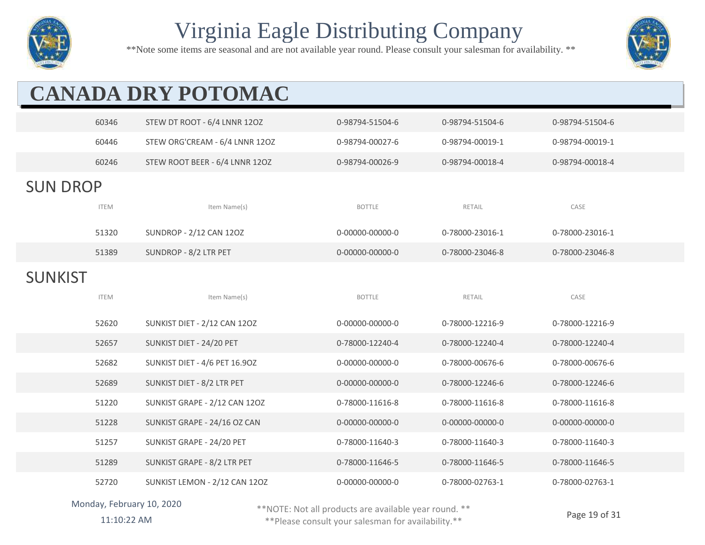

\*\*Note some items are seasonal and are not available year round. Please consult your salesman for availability. \*\*



# **CANADA DRY POTOMAC**

|                 | 60346       | STEW DT ROOT - 6/4 LNNR 12OZ   | 0-98794-51504-6 | 0-98794-51504-6 | 0-98794-51504-6 |
|-----------------|-------------|--------------------------------|-----------------|-----------------|-----------------|
|                 | 60446       | STEW ORG'CREAM - 6/4 LNNR 12OZ | 0-98794-00027-6 | 0-98794-00019-1 | 0-98794-00019-1 |
|                 | 60246       | STEW ROOT BEER - 6/4 LNNR 12OZ | 0-98794-00026-9 | 0-98794-00018-4 | 0-98794-00018-4 |
| <b>SUN DROP</b> |             |                                |                 |                 |                 |
|                 | <b>ITEM</b> | Item Name(s)                   | <b>BOTTLE</b>   | RETAIL          | CASE            |
|                 | 51320       | SUNDROP - 2/12 CAN 120Z        | 0-00000-00000-0 | 0-78000-23016-1 | 0-78000-23016-1 |
|                 | 51389       | SUNDROP - 8/2 LTR PET          | 0-00000-00000-0 | 0-78000-23046-8 | 0-78000-23046-8 |
| <b>SUNKIST</b>  |             |                                |                 |                 |                 |
|                 | <b>ITEM</b> | Item Name(s)                   | <b>BOTTLE</b>   | RETAIL          | CASE            |
|                 | 52620       | SUNKIST DIET - 2/12 CAN 12OZ   | 0-00000-00000-0 | 0-78000-12216-9 | 0-78000-12216-9 |
|                 | 52657       | SUNKIST DIET - 24/20 PET       | 0-78000-12240-4 | 0-78000-12240-4 | 0-78000-12240-4 |
|                 | 52682       | SUNKIST DIET - 4/6 PET 16.90Z  | 0-00000-00000-0 | 0-78000-00676-6 | 0-78000-00676-6 |
|                 | 52689       | SUNKIST DIET - 8/2 LTR PET     | 0-00000-00000-0 | 0-78000-12246-6 | 0-78000-12246-6 |
|                 | 51220       | SUNKIST GRAPE - 2/12 CAN 12OZ  | 0-78000-11616-8 | 0-78000-11616-8 | 0-78000-11616-8 |
|                 | 51228       | SUNKIST GRAPE - 24/16 OZ CAN   | 0-00000-00000-0 | 0-00000-00000-0 | 0-00000-00000-0 |
|                 | 51257       | SUNKIST GRAPE - 24/20 PET      | 0-78000-11640-3 | 0-78000-11640-3 | 0-78000-11640-3 |
|                 | 51289       | SUNKIST GRAPE - 8/2 LTR PET    | 0-78000-11646-5 | 0-78000-11646-5 | 0-78000-11646-5 |
|                 | 52720       | SUNKIST LEMON - 2/12 CAN 12OZ  | 0-00000-00000-0 | 0-78000-02763-1 | 0-78000-02763-1 |

#### Monday, February 10, 2020

\*\*NOTE: Not all products are available year round. \*\*

11:10:22 AM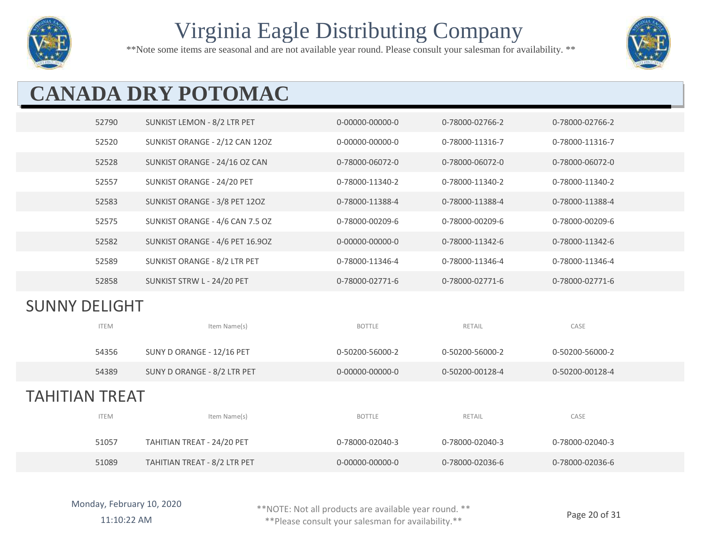

\*\*Note some items are seasonal and are not available year round. Please consult your salesman for availability. \*\*



# **CANADA DRY POTOMAC**

|                      | 52790       | SUNKIST LEMON - 8/2 LTR PET     | 0-00000-00000-0 | 0-78000-02766-2 | 0-78000-02766-2 |
|----------------------|-------------|---------------------------------|-----------------|-----------------|-----------------|
|                      | 52520       | SUNKIST ORANGE - 2/12 CAN 12OZ  | 0-00000-00000-0 | 0-78000-11316-7 | 0-78000-11316-7 |
|                      | 52528       | SUNKIST ORANGE - 24/16 OZ CAN   | 0-78000-06072-0 | 0-78000-06072-0 | 0-78000-06072-0 |
|                      | 52557       | SUNKIST ORANGE - 24/20 PET      | 0-78000-11340-2 | 0-78000-11340-2 | 0-78000-11340-2 |
|                      | 52583       | SUNKIST ORANGE - 3/8 PET 120Z   | 0-78000-11388-4 | 0-78000-11388-4 | 0-78000-11388-4 |
|                      | 52575       | SUNKIST ORANGE - 4/6 CAN 7.5 OZ | 0-78000-00209-6 | 0-78000-00209-6 | 0-78000-00209-6 |
|                      | 52582       | SUNKIST ORANGE - 4/6 PET 16.90Z | 0-00000-00000-0 | 0-78000-11342-6 | 0-78000-11342-6 |
|                      | 52589       | SUNKIST ORANGE - 8/2 LTR PET    | 0-78000-11346-4 | 0-78000-11346-4 | 0-78000-11346-4 |
|                      | 52858       | SUNKIST STRW L - 24/20 PET      | 0-78000-02771-6 | 0-78000-02771-6 | 0-78000-02771-6 |
|                      |             |                                 |                 |                 |                 |
| <b>SUNNY DELIGHT</b> |             |                                 |                 |                 |                 |
|                      | <b>ITEM</b> | Item Name(s)                    | <b>BOTTLE</b>   | RETAIL          | CASE            |
|                      | 54356       | SUNY D ORANGE - 12/16 PET       | 0-50200-56000-2 | 0-50200-56000-2 | 0-50200-56000-2 |
|                      | 54389       | SUNY D ORANGE - 8/2 LTR PET     | 0-00000-00000-0 | 0-50200-00128-4 | 0-50200-00128-4 |
| TAHITIAN TREAT       |             |                                 |                 |                 |                 |
|                      | <b>ITEM</b> | Item Name(s)                    | <b>BOTTLE</b>   | RETAIL          | CASE            |
|                      | 51057       | TAHITIAN TREAT - 24/20 PET      | 0-78000-02040-3 | 0-78000-02040-3 | 0-78000-02040-3 |

\*\*NOTE: Not all products are available year round. \*\*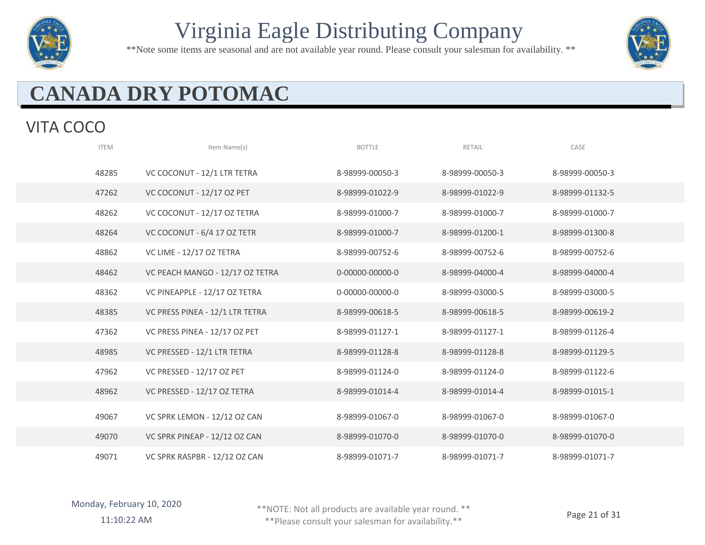

\*\*Note some items are seasonal and are not available year round. Please consult your salesman for availability. \*\*



# **CANADA DRY POTOMAC**

#### VITA COCO

| <b>ITEM</b> | Item Name(s)                    | <b>BOTTLE</b>   | <b>RETAIL</b>   | CASE            |
|-------------|---------------------------------|-----------------|-----------------|-----------------|
| 48285       | VC COCONUT - 12/1 LTR TETRA     | 8-98999-00050-3 | 8-98999-00050-3 | 8-98999-00050-3 |
| 47262       | VC COCONUT - 12/17 OZ PET       | 8-98999-01022-9 | 8-98999-01022-9 | 8-98999-01132-5 |
| 48262       | VC COCONUT - 12/17 OZ TETRA     | 8-98999-01000-7 | 8-98999-01000-7 | 8-98999-01000-7 |
| 48264       | VC COCONUT - 6/4 17 OZ TETR     | 8-98999-01000-7 | 8-98999-01200-1 | 8-98999-01300-8 |
| 48862       | VC LIME - 12/17 OZ TETRA        | 8-98999-00752-6 | 8-98999-00752-6 | 8-98999-00752-6 |
| 48462       | VC PEACH MANGO - 12/17 OZ TETRA | 0-00000-00000-0 | 8-98999-04000-4 | 8-98999-04000-4 |
| 48362       | VC PINEAPPLE - 12/17 OZ TETRA   | 0-00000-00000-0 | 8-98999-03000-5 | 8-98999-03000-5 |
| 48385       | VC PRESS PINEA - 12/1 LTR TETRA | 8-98999-00618-5 | 8-98999-00618-5 | 8-98999-00619-2 |
| 47362       | VC PRESS PINEA - 12/17 OZ PET   | 8-98999-01127-1 | 8-98999-01127-1 | 8-98999-01126-4 |
| 48985       | VC PRESSED - 12/1 LTR TETRA     | 8-98999-01128-8 | 8-98999-01128-8 | 8-98999-01129-5 |
| 47962       | VC PRESSED - 12/17 OZ PET       | 8-98999-01124-0 | 8-98999-01124-0 | 8-98999-01122-6 |
| 48962       | VC PRESSED - 12/17 OZ TETRA     | 8-98999-01014-4 | 8-98999-01014-4 | 8-98999-01015-1 |
| 49067       | VC SPRK LEMON - 12/12 OZ CAN    | 8-98999-01067-0 | 8-98999-01067-0 | 8-98999-01067-0 |
| 49070       | VC SPRK PINEAP - 12/12 OZ CAN   | 8-98999-01070-0 | 8-98999-01070-0 | 8-98999-01070-0 |
| 49071       | VC SPRK RASPBR - 12/12 OZ CAN   | 8-98999-01071-7 | 8-98999-01071-7 | 8-98999-01071-7 |

\*\*NOTE: Not all products are available year round. \*\*

11:10:22 AM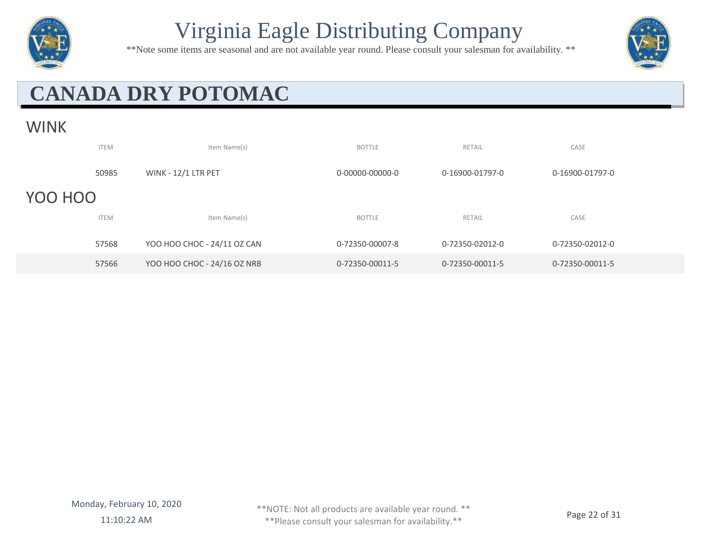

\*\*Note some items are seasonal and are not available year round. Please consult your salesman for availability. \*\*



# **CANADA DRY POTOMAC**

#### WINK

|         | <b>ITEM</b> | Item Name(s)                | <b>BOTTLE</b>   | RETAIL          | CASE            |
|---------|-------------|-----------------------------|-----------------|-----------------|-----------------|
|         | 50985       | <b>WINK - 12/1 LTR PET</b>  | 0-00000-00000-0 | 0-16900-01797-0 | 0-16900-01797-0 |
| YOO HOO |             |                             |                 |                 |                 |
|         | <b>ITEM</b> | Item Name(s)                | <b>BOTTLE</b>   | <b>RETAIL</b>   | CASE            |
|         | 57568       | YOO HOO CHOC - 24/11 OZ CAN | 0-72350-00007-8 | 0-72350-02012-0 | 0-72350-02012-0 |
|         | 57566       | YOO HOO CHOC - 24/16 OZ NRB | 0-72350-00011-5 | 0-72350-00011-5 | 0-72350-00011-5 |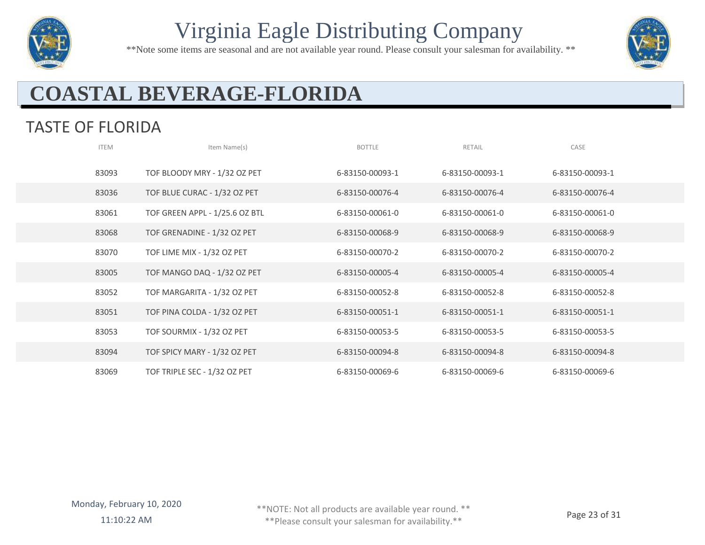

\*\*Note some items are seasonal and are not available year round. Please consult your salesman for availability. \*\*



## **COASTAL BEVERAGE-FLORIDA**

#### TASTE OF FLORIDA

| <b>ITEM</b> | Item Name(s)                   | <b>BOTTLE</b>   | RETAIL          | CASE            |
|-------------|--------------------------------|-----------------|-----------------|-----------------|
| 83093       | TOF BLOODY MRY - 1/32 OZ PET   | 6-83150-00093-1 | 6-83150-00093-1 | 6-83150-00093-1 |
| 83036       | TOF BLUE CURAC - 1/32 OZ PET   | 6-83150-00076-4 | 6-83150-00076-4 | 6-83150-00076-4 |
| 83061       | TOF GREEN APPL - 1/25.6 OZ BTL | 6-83150-00061-0 | 6-83150-00061-0 | 6-83150-00061-0 |
| 83068       | TOF GRENADINE - 1/32 OZ PET    | 6-83150-00068-9 | 6-83150-00068-9 | 6-83150-00068-9 |
| 83070       | TOF LIME MIX - 1/32 OZ PET     | 6-83150-00070-2 | 6-83150-00070-2 | 6-83150-00070-2 |
| 83005       | TOF MANGO DAQ - 1/32 OZ PET    | 6-83150-00005-4 | 6-83150-00005-4 | 6-83150-00005-4 |
| 83052       | TOF MARGARITA - 1/32 OZ PET    | 6-83150-00052-8 | 6-83150-00052-8 | 6-83150-00052-8 |
| 83051       | TOF PINA COLDA - 1/32 OZ PET   | 6-83150-00051-1 | 6-83150-00051-1 | 6-83150-00051-1 |
| 83053       | TOF SOURMIX - 1/32 OZ PET      | 6-83150-00053-5 | 6-83150-00053-5 | 6-83150-00053-5 |
| 83094       | TOF SPICY MARY - 1/32 OZ PET   | 6-83150-00094-8 | 6-83150-00094-8 | 6-83150-00094-8 |
| 83069       | TOF TRIPLE SEC - 1/32 OZ PET   | 6-83150-00069-6 | 6-83150-00069-6 | 6-83150-00069-6 |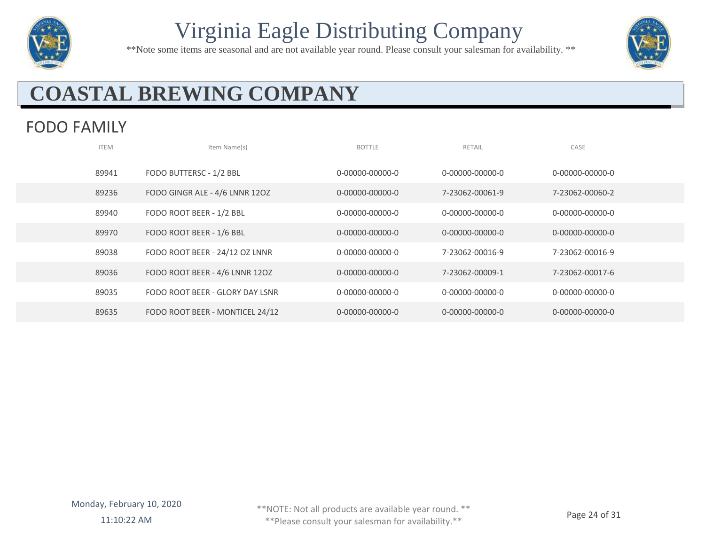

\*\*Note some items are seasonal and are not available year round. Please consult your salesman for availability. \*\*



## **COASTAL BREWING COMPANY**

#### FODO FAMILY

| <b>ITEM</b> | Item Name(s)                    | <b>BOTTLE</b>   | RETAIL          | CASE            |
|-------------|---------------------------------|-----------------|-----------------|-----------------|
| 89941       | FODO BUTTERSC - 1/2 BBL         | 0-00000-00000-0 | 0-00000-00000-0 | 0-00000-00000-0 |
| 89236       | FODO GINGR ALE - 4/6 LNNR 12OZ  | 0-00000-00000-0 | 7-23062-00061-9 | 7-23062-00060-2 |
| 89940       | FODO ROOT BEER - 1/2 BBL        | 0-00000-00000-0 | 0-00000-00000-0 | 0-00000-00000-0 |
| 89970       | FODO ROOT BEER - 1/6 BBL        | 0-00000-00000-0 | 0-00000-00000-0 | 0-00000-00000-0 |
| 89038       | FODO ROOT BEER - 24/12 OZ LNNR  | 0-00000-00000-0 | 7-23062-00016-9 | 7-23062-00016-9 |
| 89036       | FODO ROOT BEER - 4/6 LNNR 120Z  | 0-00000-00000-0 | 7-23062-00009-1 | 7-23062-00017-6 |
| 89035       | FODO ROOT BEER - GLORY DAY LSNR | 0-00000-00000-0 | 0-00000-00000-0 | 0-00000-00000-0 |
| 89635       | FODO ROOT BEER - MONTICEL 24/12 | 0-00000-00000-0 | 0-00000-00000-0 | 0-00000-00000-0 |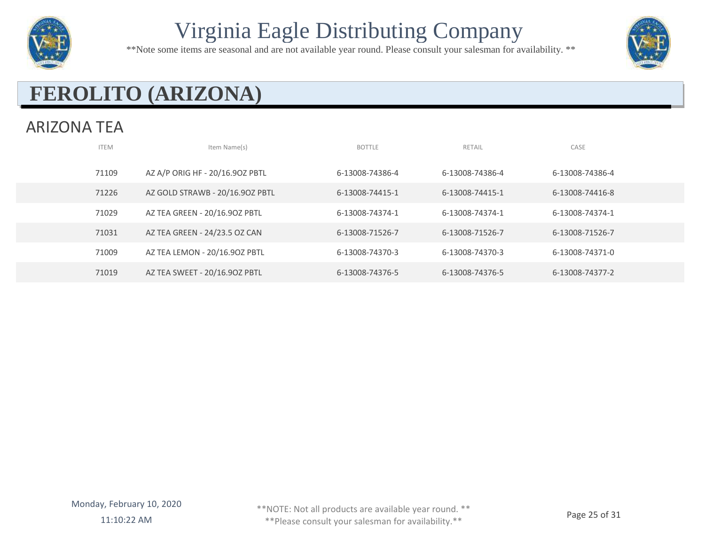

\*\*Note some items are seasonal and are not available year round. Please consult your salesman for availability. \*\*



## **FEROLITO (ARIZONA)**

#### ARIZONA TEA

| <b>ITEM</b> | Item Name(s)                    | <b>BOTTLE</b>   | RETAIL          | CASE            |  |
|-------------|---------------------------------|-----------------|-----------------|-----------------|--|
| 71109       | AZ A/P ORIG HF - 20/16.90Z PBTL | 6-13008-74386-4 | 6-13008-74386-4 | 6-13008-74386-4 |  |
| 71226       | AZ GOLD STRAWB - 20/16.90Z PBTL | 6-13008-74415-1 | 6-13008-74415-1 | 6-13008-74416-8 |  |
| 71029       | AZ TEA GREEN - 20/16.90Z PBTL   | 6-13008-74374-1 | 6-13008-74374-1 | 6-13008-74374-1 |  |
| 71031       | AZ TEA GREEN - 24/23.5 OZ CAN   | 6-13008-71526-7 | 6-13008-71526-7 | 6-13008-71526-7 |  |
| 71009       | AZ TEA LEMON - 20/16.90Z PBTL   | 6-13008-74370-3 | 6-13008-74370-3 | 6-13008-74371-0 |  |
| 71019       | AZ TEA SWEET - 20/16.90Z PBTL   | 6-13008-74376-5 | 6-13008-74376-5 | 6-13008-74377-2 |  |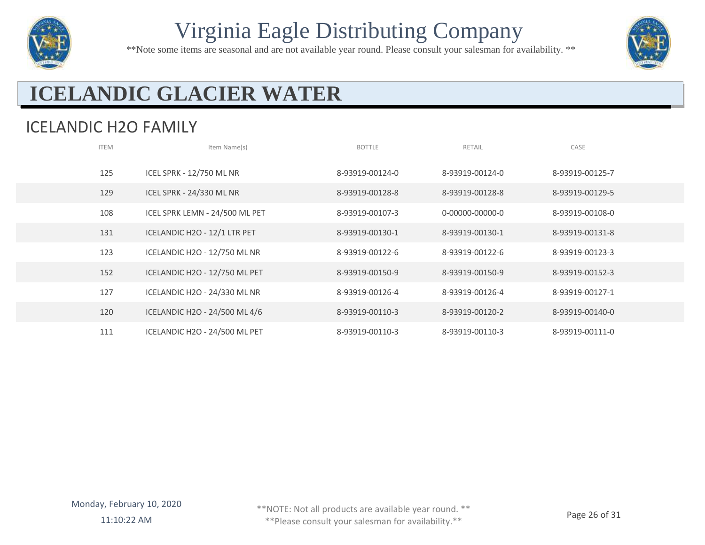

\*\*Note some items are seasonal and are not available year round. Please consult your salesman for availability. \*\*



## **ICELANDIC GLACIER WATER**

#### ICELANDIC H2O FAMILY

| <b>ITEM</b> | Item Name(s)                    | <b>BOTTLE</b>   | RETAIL          | CASE            |  |
|-------------|---------------------------------|-----------------|-----------------|-----------------|--|
| 125         | <b>ICEL SPRK - 12/750 ML NR</b> | 8-93919-00124-0 | 8-93919-00124-0 | 8-93919-00125-7 |  |
| 129         | ICEL SPRK - 24/330 ML NR        | 8-93919-00128-8 | 8-93919-00128-8 | 8-93919-00129-5 |  |
| 108         | ICEL SPRK LEMN - 24/500 ML PET  | 8-93919-00107-3 | 0-00000-00000-0 | 8-93919-00108-0 |  |
| 131         | ICELANDIC H2O - 12/1 LTR PET    | 8-93919-00130-1 | 8-93919-00130-1 | 8-93919-00131-8 |  |
| 123         | ICELANDIC H2O - 12/750 ML NR    | 8-93919-00122-6 | 8-93919-00122-6 | 8-93919-00123-3 |  |
| 152         | ICELANDIC H2O - 12/750 ML PET   | 8-93919-00150-9 | 8-93919-00150-9 | 8-93919-00152-3 |  |
| 127         | ICELANDIC H2O - 24/330 ML NR    | 8-93919-00126-4 | 8-93919-00126-4 | 8-93919-00127-1 |  |
| 120         | ICELANDIC H2O - 24/500 ML 4/6   | 8-93919-00110-3 | 8-93919-00120-2 | 8-93919-00140-0 |  |
| 111         | ICELANDIC H2O - 24/500 ML PET   | 8-93919-00110-3 | 8-93919-00110-3 | 8-93919-00111-0 |  |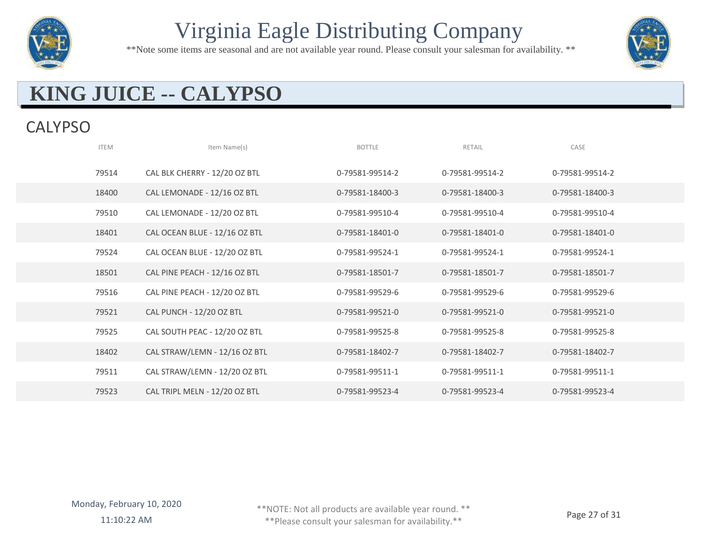

\*\*Note some items are seasonal and are not available year round. Please consult your salesman for availability. \*\*



## **KING JUICE -- CALYPSO**

#### **CALYPSO**

| <b>ITEM</b> | Item Name(s)                  | <b>BOTTLE</b>   | RETAIL          | CASE            |  |
|-------------|-------------------------------|-----------------|-----------------|-----------------|--|
| 79514       | CAL BLK CHERRY - 12/20 OZ BTL | 0-79581-99514-2 | 0-79581-99514-2 | 0-79581-99514-2 |  |
| 18400       | CAL LEMONADE - 12/16 OZ BTL   | 0-79581-18400-3 | 0-79581-18400-3 | 0-79581-18400-3 |  |
| 79510       | CAL LEMONADE - 12/20 OZ BTL   | 0-79581-99510-4 | 0-79581-99510-4 | 0-79581-99510-4 |  |
| 18401       | CAL OCEAN BLUE - 12/16 OZ BTL | 0-79581-18401-0 | 0-79581-18401-0 | 0-79581-18401-0 |  |
| 79524       | CAL OCEAN BLUE - 12/20 OZ BTL | 0-79581-99524-1 | 0-79581-99524-1 | 0-79581-99524-1 |  |
| 18501       | CAL PINE PEACH - 12/16 OZ BTL | 0-79581-18501-7 | 0-79581-18501-7 | 0-79581-18501-7 |  |
| 79516       | CAL PINE PEACH - 12/20 OZ BTL | 0-79581-99529-6 | 0-79581-99529-6 | 0-79581-99529-6 |  |
| 79521       | CAL PUNCH - 12/20 OZ BTL      | 0-79581-99521-0 | 0-79581-99521-0 | 0-79581-99521-0 |  |
| 79525       | CAL SOUTH PEAC - 12/20 OZ BTL | 0-79581-99525-8 | 0-79581-99525-8 | 0-79581-99525-8 |  |
| 18402       | CAL STRAW/LEMN - 12/16 OZ BTL | 0-79581-18402-7 | 0-79581-18402-7 | 0-79581-18402-7 |  |
| 79511       | CAL STRAW/LEMN - 12/20 OZ BTL | 0-79581-99511-1 | 0-79581-99511-1 | 0-79581-99511-1 |  |
| 79523       | CAL TRIPL MELN - 12/20 OZ BTL | 0-79581-99523-4 | 0-79581-99523-4 | 0-79581-99523-4 |  |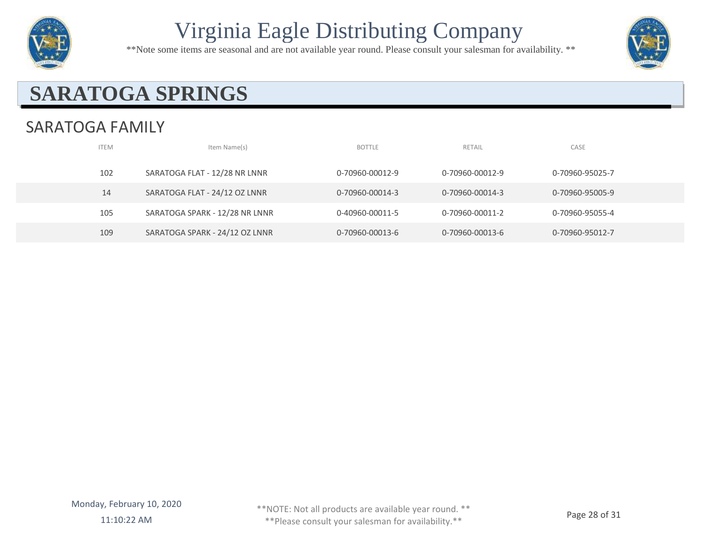

\*\*Note some items are seasonal and are not available year round. Please consult your salesman for availability. \*\*



## **SARATOGA SPRINGS**

#### SARATOGA FAMILY

| <b>ITEM</b> | Item Name(s)                   | <b>BOTTLE</b>   | RETAIL          | CASE            |  |
|-------------|--------------------------------|-----------------|-----------------|-----------------|--|
| 102         | SARATOGA FLAT - 12/28 NR LNNR  | 0-70960-00012-9 | 0-70960-00012-9 | 0-70960-95025-7 |  |
| 14          | SARATOGA FLAT - 24/12 OZ LNNR  | 0-70960-00014-3 | 0-70960-00014-3 | 0-70960-95005-9 |  |
| 105         | SARATOGA SPARK - 12/28 NR LNNR | 0-40960-00011-5 | 0-70960-00011-2 | 0-70960-95055-4 |  |
| 109         | SARATOGA SPARK - 24/12 OZ LNNR | 0-70960-00013-6 | 0-70960-00013-6 | 0-70960-95012-7 |  |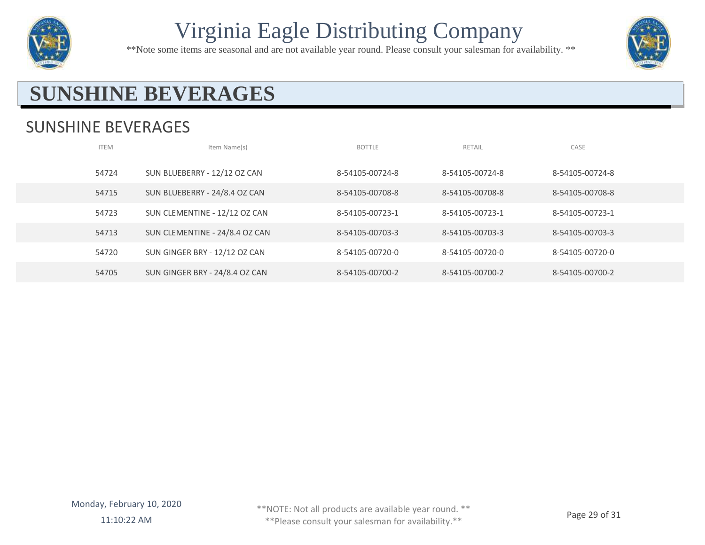

\*\*Note some items are seasonal and are not available year round. Please consult your salesman for availability. \*\*



#### **SUNSHINE BEVERAGES**

#### SUNSHINE BEVERAGES

| <b>ITEM</b> | Item Name(s)                   | <b>BOTTLE</b>   | RETAIL          | CASE            |
|-------------|--------------------------------|-----------------|-----------------|-----------------|
| 54724       | SUN BLUEBERRY - 12/12 OZ CAN   | 8-54105-00724-8 | 8-54105-00724-8 | 8-54105-00724-8 |
| 54715       | SUN BLUEBERRY - 24/8.4 OZ CAN  | 8-54105-00708-8 | 8-54105-00708-8 | 8-54105-00708-8 |
| 54723       | SUN CLEMENTINE - 12/12 OZ CAN  | 8-54105-00723-1 | 8-54105-00723-1 | 8-54105-00723-1 |
| 54713       | SUN CLEMENTINE - 24/8.4 OZ CAN | 8-54105-00703-3 | 8-54105-00703-3 | 8-54105-00703-3 |
| 54720       | SUN GINGER BRY - 12/12 OZ CAN  | 8-54105-00720-0 | 8-54105-00720-0 | 8-54105-00720-0 |
| 54705       | SUN GINGER BRY - 24/8.4 OZ CAN | 8-54105-00700-2 | 8-54105-00700-2 | 8-54105-00700-2 |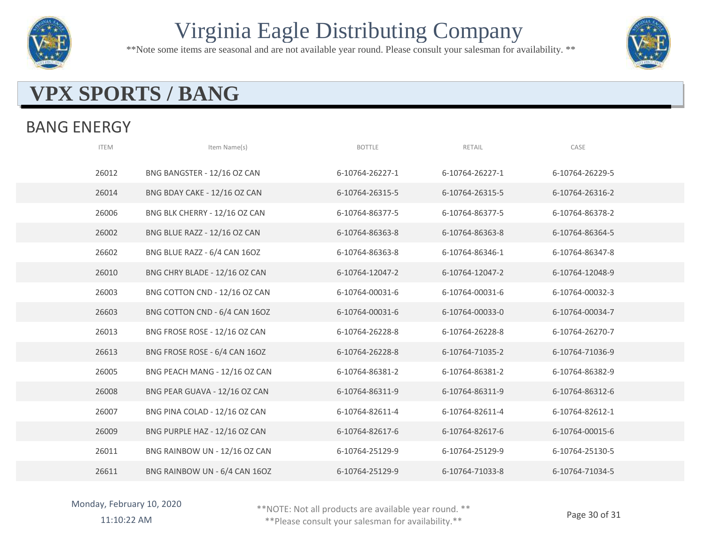

\*\*Note some items are seasonal and are not available year round. Please consult your salesman for availability. \*\*



#### **VPX SPORTS / BANG**

#### BANG ENERGY

| <b>ITEM</b> | Item Name(s)                  | <b>BOTTLE</b>   | RETAIL          | CASE            |
|-------------|-------------------------------|-----------------|-----------------|-----------------|
| 26012       | BNG BANGSTER - 12/16 OZ CAN   | 6-10764-26227-1 | 6-10764-26227-1 | 6-10764-26229-5 |
| 26014       | BNG BDAY CAKE - 12/16 OZ CAN  | 6-10764-26315-5 | 6-10764-26315-5 | 6-10764-26316-2 |
| 26006       | BNG BLK CHERRY - 12/16 OZ CAN | 6-10764-86377-5 | 6-10764-86377-5 | 6-10764-86378-2 |
| 26002       | BNG BLUE RAZZ - 12/16 OZ CAN  | 6-10764-86363-8 | 6-10764-86363-8 | 6-10764-86364-5 |
| 26602       | BNG BLUE RAZZ - 6/4 CAN 16OZ  | 6-10764-86363-8 | 6-10764-86346-1 | 6-10764-86347-8 |
| 26010       | BNG CHRY BLADE - 12/16 OZ CAN | 6-10764-12047-2 | 6-10764-12047-2 | 6-10764-12048-9 |
| 26003       | BNG COTTON CND - 12/16 OZ CAN | 6-10764-00031-6 | 6-10764-00031-6 | 6-10764-00032-3 |
| 26603       | BNG COTTON CND - 6/4 CAN 16OZ | 6-10764-00031-6 | 6-10764-00033-0 | 6-10764-00034-7 |
| 26013       | BNG FROSE ROSE - 12/16 OZ CAN | 6-10764-26228-8 | 6-10764-26228-8 | 6-10764-26270-7 |
| 26613       | BNG FROSE ROSE - 6/4 CAN 16OZ | 6-10764-26228-8 | 6-10764-71035-2 | 6-10764-71036-9 |
| 26005       | BNG PEACH MANG - 12/16 OZ CAN | 6-10764-86381-2 | 6-10764-86381-2 | 6-10764-86382-9 |
| 26008       | BNG PEAR GUAVA - 12/16 OZ CAN | 6-10764-86311-9 | 6-10764-86311-9 | 6-10764-86312-6 |
| 26007       | BNG PINA COLAD - 12/16 OZ CAN | 6-10764-82611-4 | 6-10764-82611-4 | 6-10764-82612-1 |
| 26009       | BNG PURPLE HAZ - 12/16 OZ CAN | 6-10764-82617-6 | 6-10764-82617-6 | 6-10764-00015-6 |
| 26011       | BNG RAINBOW UN - 12/16 OZ CAN | 6-10764-25129-9 | 6-10764-25129-9 | 6-10764-25130-5 |
| 26611       | BNG RAINBOW UN - 6/4 CAN 16OZ | 6-10764-25129-9 | 6-10764-71033-8 | 6-10764-71034-5 |

\*\*NOTE: Not all products are available year round. \*\*

11:10:22 AM